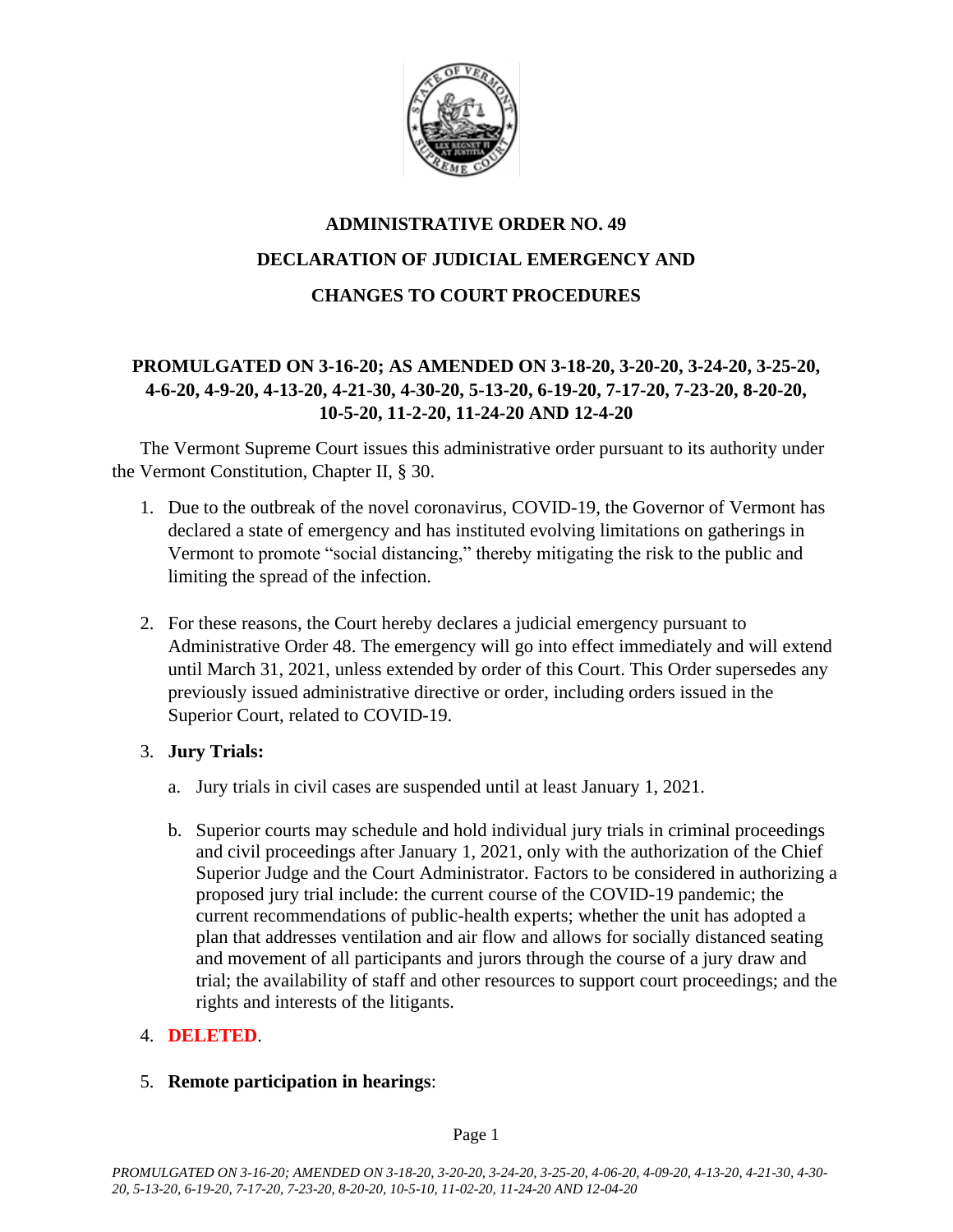

# **ADMINISTRATIVE ORDER NO. 49 DECLARATION OF JUDICIAL EMERGENCY AND CHANGES TO COURT PROCEDURES**

# **PROMULGATED ON 3-16-20; AS AMENDED ON 3-18-20, 3-20-20, 3-24-20, 3-25-20, 4-6-20, 4-9-20, 4-13-20, 4-21-30, 4-30-20, 5-13-20, 6-19-20, 7-17-20, 7-23-20, 8-20-20, 10-5-20, 11-2-20, 11-24-20 AND 12-4-20**

The Vermont Supreme Court issues this administrative order pursuant to its authority under the Vermont Constitution, Chapter II, § 30.

- 1. Due to the outbreak of the novel coronavirus, COVID-19, the Governor of Vermont has declared a state of emergency and has instituted evolving limitations on gatherings in Vermont to promote "social distancing," thereby mitigating the risk to the public and limiting the spread of the infection.
- 2. For these reasons, the Court hereby declares a judicial emergency pursuant to Administrative Order 48. The emergency will go into effect immediately and will extend until March 31, 2021, unless extended by order of this Court. This Order supersedes any previously issued administrative directive or order, including orders issued in the Superior Court, related to COVID-19.

## 3. **Jury Trials:**

- a. Jury trials in civil cases are suspended until at least January 1, 2021.
- b. Superior courts may schedule and hold individual jury trials in criminal proceedings and civil proceedings after January 1, 2021, only with the authorization of the Chief Superior Judge and the Court Administrator. Factors to be considered in authorizing a proposed jury trial include: the current course of the COVID-19 pandemic; the current recommendations of public-health experts; whether the unit has adopted a plan that addresses ventilation and air flow and allows for socially distanced seating and movement of all participants and jurors through the course of a jury draw and trial; the availability of staff and other resources to support court proceedings; and the rights and interests of the litigants.

## 4. **DELETED**.

### 5. **Remote participation in hearings**: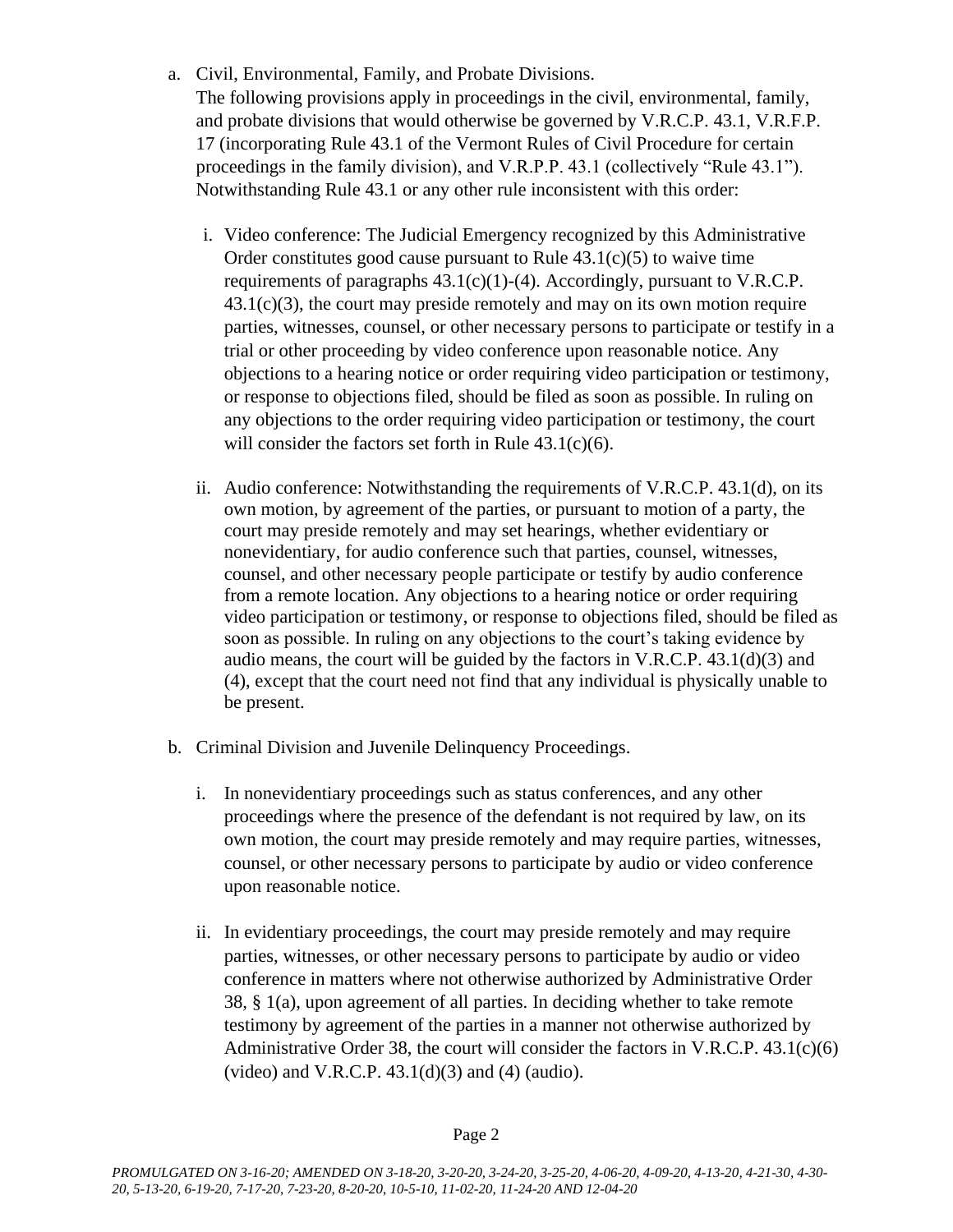- a. Civil, Environmental, Family, and Probate Divisions. The following provisions apply in proceedings in the civil, environmental, family, and probate divisions that would otherwise be governed by V.R.C.P. 43.1, V.R.F.P. 17 (incorporating Rule 43.1 of the Vermont Rules of Civil Procedure for certain proceedings in the family division), and V.R.P.P. 43.1 (collectively "Rule 43.1"). Notwithstanding Rule 43.1 or any other rule inconsistent with this order:
	- i. Video conference: The Judicial Emergency recognized by this Administrative Order constitutes good cause pursuant to Rule  $43.1(c)(5)$  to waive time requirements of paragraphs  $43.1(c)(1)-(4)$ . Accordingly, pursuant to V.R.C.P.  $43.1(c)(3)$ , the court may preside remotely and may on its own motion require parties, witnesses, counsel, or other necessary persons to participate or testify in a trial or other proceeding by video conference upon reasonable notice. Any objections to a hearing notice or order requiring video participation or testimony, or response to objections filed, should be filed as soon as possible. In ruling on any objections to the order requiring video participation or testimony, the court will consider the factors set forth in Rule 43.1(c)(6).
	- ii. Audio conference: Notwithstanding the requirements of V.R.C.P. 43.1(d), on its own motion, by agreement of the parties, or pursuant to motion of a party, the court may preside remotely and may set hearings, whether evidentiary or nonevidentiary, for audio conference such that parties, counsel, witnesses, counsel, and other necessary people participate or testify by audio conference from a remote location. Any objections to a hearing notice or order requiring video participation or testimony, or response to objections filed, should be filed as soon as possible. In ruling on any objections to the court's taking evidence by audio means, the court will be guided by the factors in V.R.C.P. 43.1(d)(3) and (4), except that the court need not find that any individual is physically unable to be present.
- b. Criminal Division and Juvenile Delinquency Proceedings.
	- i. In nonevidentiary proceedings such as status conferences, and any other proceedings where the presence of the defendant is not required by law, on its own motion, the court may preside remotely and may require parties, witnesses, counsel, or other necessary persons to participate by audio or video conference upon reasonable notice.
	- ii. In evidentiary proceedings, the court may preside remotely and may require parties, witnesses, or other necessary persons to participate by audio or video conference in matters where not otherwise authorized by Administrative Order 38, § 1(a), upon agreement of all parties. In deciding whether to take remote testimony by agreement of the parties in a manner not otherwise authorized by Administrative Order 38, the court will consider the factors in V.R.C.P.  $43.1(c)(6)$ (video) and V.R.C.P.  $43.1(d)(3)$  and  $(4)$  (audio).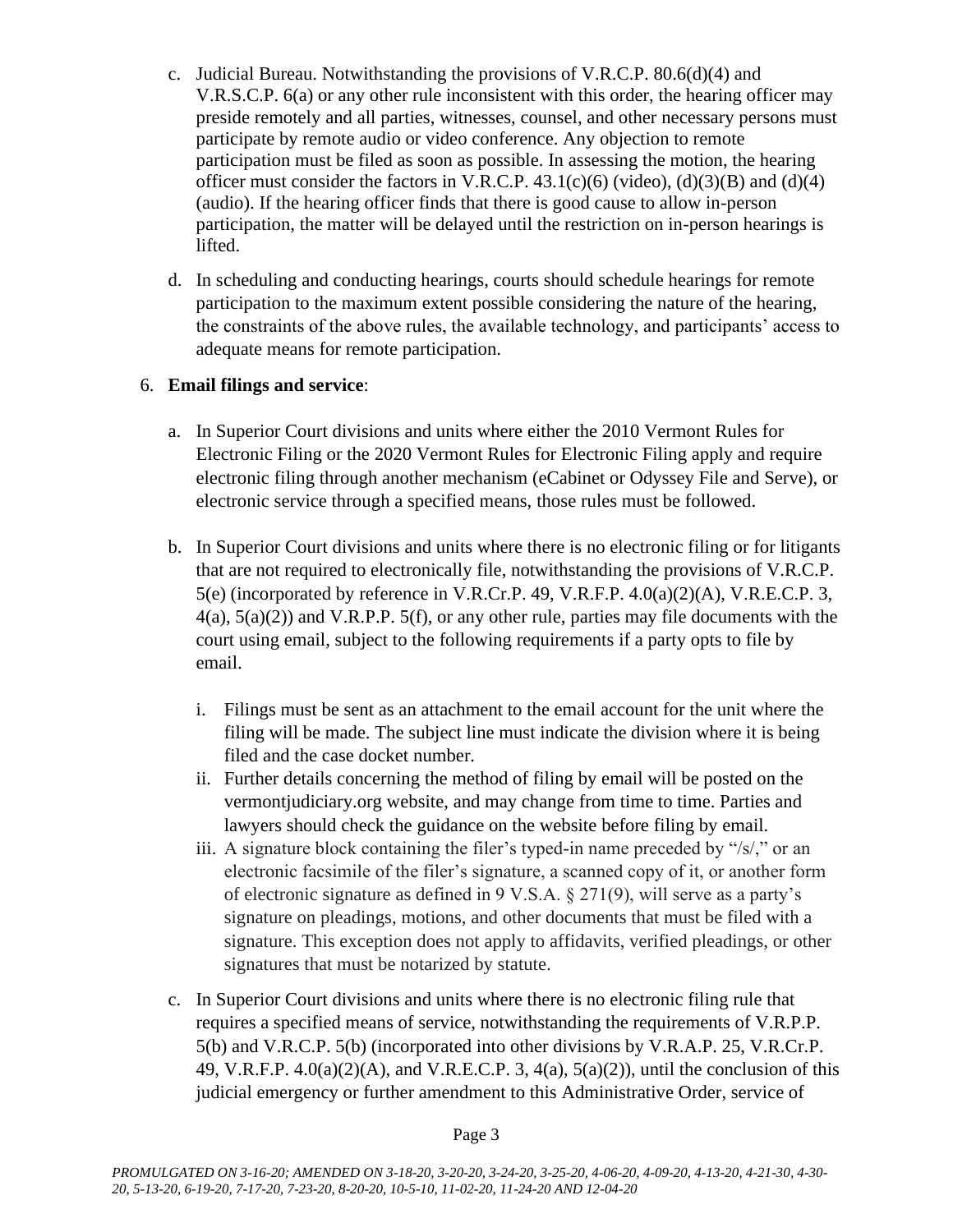- c. Judicial Bureau. Notwithstanding the provisions of V.R.C.P. 80.6(d)(4) and V.R.S.C.P. 6(a) or any other rule inconsistent with this order, the hearing officer may preside remotely and all parties, witnesses, counsel, and other necessary persons must participate by remote audio or video conference. Any objection to remote participation must be filed as soon as possible. In assessing the motion, the hearing officer must consider the factors in V.R.C.P.  $43.1(c)(6)$  (video), (d) $(3)(B)$  and (d) $(4)$ (audio). If the hearing officer finds that there is good cause to allow in-person participation, the matter will be delayed until the restriction on in-person hearings is lifted.
- d. In scheduling and conducting hearings, courts should schedule hearings for remote participation to the maximum extent possible considering the nature of the hearing, the constraints of the above rules, the available technology, and participants' access to adequate means for remote participation.

## 6. **Email filings and service**:

- a. In Superior Court divisions and units where either the 2010 Vermont Rules for Electronic Filing or the 2020 Vermont Rules for Electronic Filing apply and require electronic filing through another mechanism (eCabinet or Odyssey File and Serve), or electronic service through a specified means, those rules must be followed.
- b. In Superior Court divisions and units where there is no electronic filing or for litigants that are not required to electronically file, notwithstanding the provisions of V.R.C.P. 5(e) (incorporated by reference in V.R.Cr.P. 49, V.R.F.P. 4.0(a)(2)(A), V.R.E.C.P. 3,  $4(a)$ ,  $5(a)(2)$ ) and V.R.P.P.  $5(f)$ , or any other rule, parties may file documents with the court using email, subject to the following requirements if a party opts to file by email.
	- i. Filings must be sent as an attachment to the email account for the unit where the filing will be made. The subject line must indicate the division where it is being filed and the case docket number.
	- ii. Further details concerning the method of filing by email will be posted on the vermontjudiciary.org website, and may change from time to time. Parties and lawyers should check the guidance on the website before filing by email.
	- iii. A signature block containing the filer's typed-in name preceded by "/s/," or an electronic facsimile of the filer's signature, a scanned copy of it, or another form of electronic signature as defined in 9 V.S.A. § 271(9), will serve as a party's signature on pleadings, motions, and other documents that must be filed with a signature. This exception does not apply to affidavits, verified pleadings, or other signatures that must be notarized by statute.
- c. In Superior Court divisions and units where there is no electronic filing rule that requires a specified means of service, notwithstanding the requirements of V.R.P.P. 5(b) and V.R.C.P. 5(b) (incorporated into other divisions by V.R.A.P. 25, V.R.Cr.P. 49, V.R.F.P. 4.0(a)(2)(A), and V.R.E.C.P. 3, 4(a), 5(a)(2)), until the conclusion of this judicial emergency or further amendment to this Administrative Order, service of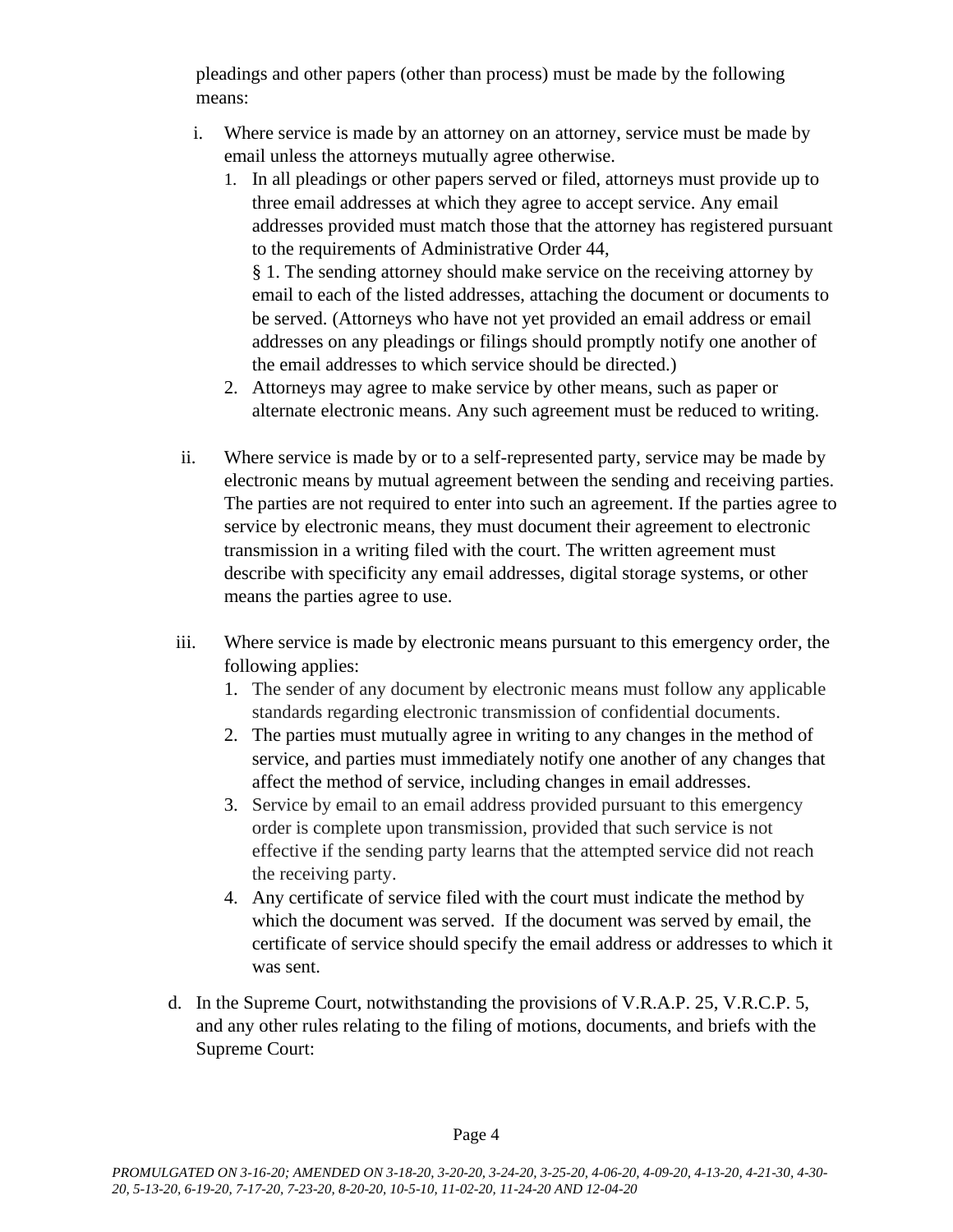pleadings and other papers (other than process) must be made by the following means:

- i. Where service is made by an attorney on an attorney, service must be made by email unless the attorneys mutually agree otherwise.
	- 1. In all pleadings or other papers served or filed, attorneys must provide up to three email addresses at which they agree to accept service. Any email addresses provided must match those that the attorney has registered pursuant to the requirements of Administrative Order 44, § 1. The sending attorney should make service on the receiving attorney by

email to each of the listed addresses, attaching the document or documents to be served. (Attorneys who have not yet provided an email address or email addresses on any pleadings or filings should promptly notify one another of the email addresses to which service should be directed.)

- 2. Attorneys may agree to make service by other means, such as paper or alternate electronic means. Any such agreement must be reduced to writing.
- ii. Where service is made by or to a self-represented party, service may be made by electronic means by mutual agreement between the sending and receiving parties. The parties are not required to enter into such an agreement. If the parties agree to service by electronic means, they must document their agreement to electronic transmission in a writing filed with the court. The written agreement must describe with specificity any email addresses, digital storage systems, or other means the parties agree to use.
- iii. Where service is made by electronic means pursuant to this emergency order, the following applies:
	- 1. The sender of any document by electronic means must follow any applicable standards regarding electronic transmission of confidential documents.
	- 2. The parties must mutually agree in writing to any changes in the method of service, and parties must immediately notify one another of any changes that affect the method of service, including changes in email addresses.
	- 3. Service by email to an email address provided pursuant to this emergency order is complete upon transmission, provided that such service is not effective if the sending party learns that the attempted service did not reach the receiving party.
	- 4. Any certificate of service filed with the court must indicate the method by which the document was served. If the document was served by email, the certificate of service should specify the email address or addresses to which it was sent.
- d. In the Supreme Court, notwithstanding the provisions of V.R.A.P. 25, V.R.C.P. 5, and any other rules relating to the filing of motions, documents, and briefs with the Supreme Court: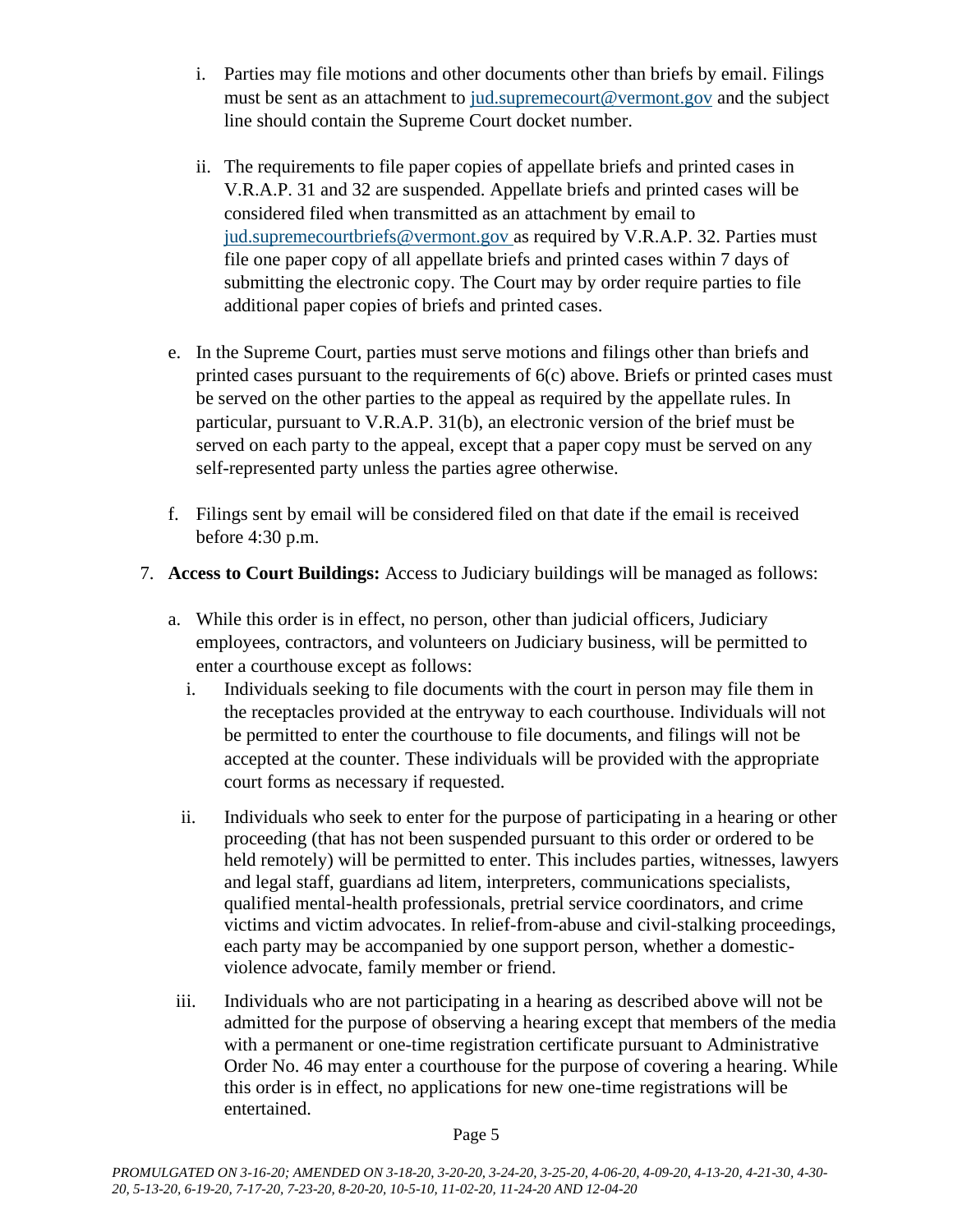- i. Parties may file motions and other documents other than briefs by email. Filings must be sent as an attachment to [jud.supremecourt@vermont.gov](mailto:jud.supremecourt@vermont.gov) and the subject line should contain the Supreme Court docket number.
- ii. The requirements to file paper copies of appellate briefs and printed cases in V.R.A.P. 31 and 32 are suspended. Appellate briefs and printed cases will be considered filed when transmitted as an attachment by email to [jud.supremecourtbriefs@vermont.gov](mailto:jud.supremecourtbriefs@vermont.gov) as required by V.R.A.P. 32. Parties must file one paper copy of all appellate briefs and printed cases within 7 days of submitting the electronic copy. The Court may by order require parties to file additional paper copies of briefs and printed cases.
- e. In the Supreme Court, parties must serve motions and filings other than briefs and printed cases pursuant to the requirements of 6(c) above. Briefs or printed cases must be served on the other parties to the appeal as required by the appellate rules. In particular, pursuant to V.R.A.P. 31(b), an electronic version of the brief must be served on each party to the appeal, except that a paper copy must be served on any self-represented party unless the parties agree otherwise.
- f. Filings sent by email will be considered filed on that date if the email is received before 4:30 p.m.
- 7. **Access to Court Buildings:** Access to Judiciary buildings will be managed as follows:
	- a. While this order is in effect, no person, other than judicial officers, Judiciary employees, contractors, and volunteers on Judiciary business, will be permitted to enter a courthouse except as follows:
		- i. Individuals seeking to file documents with the court in person may file them in the receptacles provided at the entryway to each courthouse. Individuals will not be permitted to enter the courthouse to file documents, and filings will not be accepted at the counter. These individuals will be provided with the appropriate court forms as necessary if requested.
		- ii. Individuals who seek to enter for the purpose of participating in a hearing or other proceeding (that has not been suspended pursuant to this order or ordered to be held remotely) will be permitted to enter. This includes parties, witnesses, lawyers and legal staff, guardians ad litem, interpreters, communications specialists, qualified mental-health professionals, pretrial service coordinators, and crime victims and victim advocates. In relief-from-abuse and civil-stalking proceedings, each party may be accompanied by one support person, whether a domesticviolence advocate, family member or friend.
	- iii. Individuals who are not participating in a hearing as described above will not be admitted for the purpose of observing a hearing except that members of the media with a permanent or one-time registration certificate pursuant to Administrative Order No. 46 may enter a courthouse for the purpose of covering a hearing. While this order is in effect, no applications for new one-time registrations will be entertained.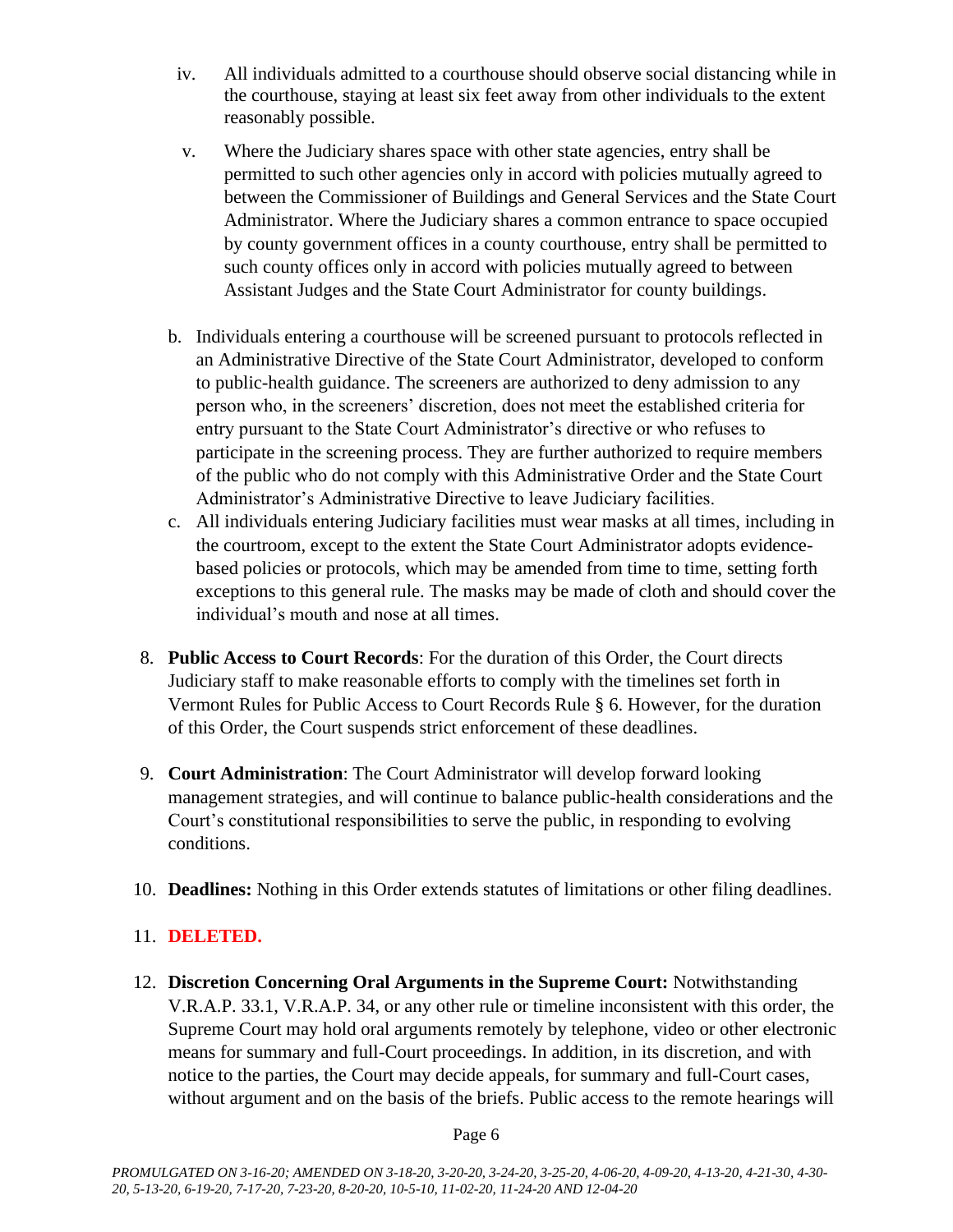- iv. All individuals admitted to a courthouse should observe social distancing while in the courthouse, staying at least six feet away from other individuals to the extent reasonably possible.
- v. Where the Judiciary shares space with other state agencies, entry shall be permitted to such other agencies only in accord with policies mutually agreed to between the Commissioner of Buildings and General Services and the State Court Administrator. Where the Judiciary shares a common entrance to space occupied by county government offices in a county courthouse, entry shall be permitted to such county offices only in accord with policies mutually agreed to between Assistant Judges and the State Court Administrator for county buildings.
- b. Individuals entering a courthouse will be screened pursuant to protocols reflected in an Administrative Directive of the State Court Administrator, developed to conform to public-health guidance. The screeners are authorized to deny admission to any person who, in the screeners' discretion, does not meet the established criteria for entry pursuant to the State Court Administrator's directive or who refuses to participate in the screening process. They are further authorized to require members of the public who do not comply with this Administrative Order and the State Court Administrator's Administrative Directive to leave Judiciary facilities.
- c. All individuals entering Judiciary facilities must wear masks at all times, including in the courtroom, except to the extent the State Court Administrator adopts evidencebased policies or protocols, which may be amended from time to time, setting forth exceptions to this general rule. The masks may be made of cloth and should cover the individual's mouth and nose at all times.
- 8. **Public Access to Court Records**: For the duration of this Order, the Court directs Judiciary staff to make reasonable efforts to comply with the timelines set forth in Vermont Rules for Public Access to Court Records Rule § 6. However, for the duration of this Order, the Court suspends strict enforcement of these deadlines.
- 9. **Court Administration**: The Court Administrator will develop forward looking management strategies, and will continue to balance public-health considerations and the Court's constitutional responsibilities to serve the public, in responding to evolving conditions.
- 10. **Deadlines:** Nothing in this Order extends statutes of limitations or other filing deadlines.

# 11. **DELETED.**

12. **Discretion Concerning Oral Arguments in the Supreme Court:** Notwithstanding V.R.A.P. 33.1, V.R.A.P. 34, or any other rule or timeline inconsistent with this order, the Supreme Court may hold oral arguments remotely by telephone, video or other electronic means for summary and full-Court proceedings. In addition, in its discretion, and with notice to the parties, the Court may decide appeals, for summary and full-Court cases, without argument and on the basis of the briefs. Public access to the remote hearings will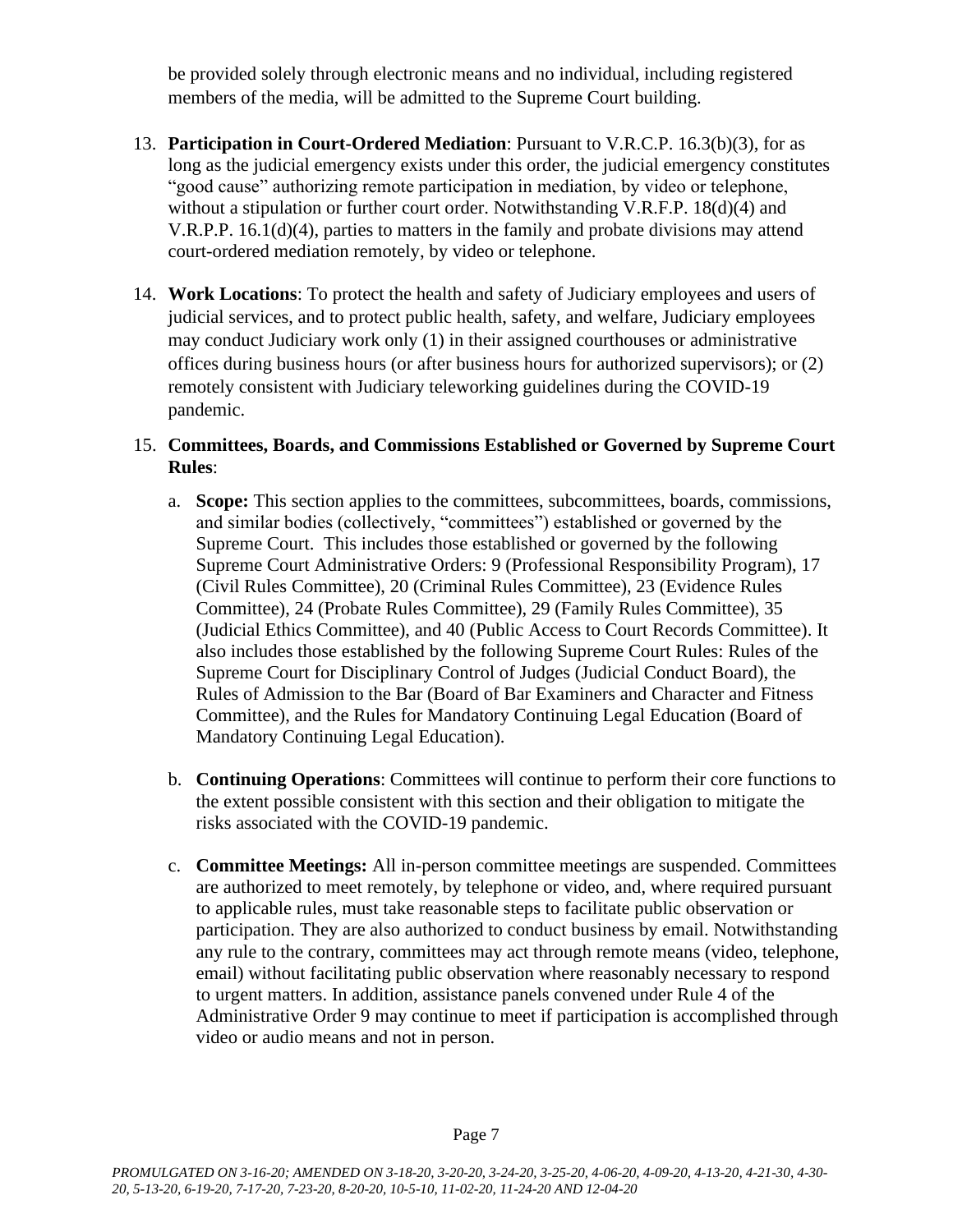be provided solely through electronic means and no individual, including registered members of the media, will be admitted to the Supreme Court building.

- 13. **Participation in Court-Ordered Mediation**: Pursuant to V.R.C.P. 16.3(b)(3), for as long as the judicial emergency exists under this order, the judicial emergency constitutes "good cause" authorizing remote participation in mediation, by video or telephone, without a stipulation or further court order. Notwithstanding V.R.F.P. 18(d)(4) and V.R.P.P. 16.1(d)(4), parties to matters in the family and probate divisions may attend court-ordered mediation remotely, by video or telephone.
- 14. **Work Locations**: To protect the health and safety of Judiciary employees and users of judicial services, and to protect public health, safety, and welfare, Judiciary employees may conduct Judiciary work only (1) in their assigned courthouses or administrative offices during business hours (or after business hours for authorized supervisors); or (2) remotely consistent with Judiciary teleworking guidelines during the COVID-19 pandemic.

## 15. **Committees, Boards, and Commissions Established or Governed by Supreme Court Rules**:

- a. **Scope:** This section applies to the committees, subcommittees, boards, commissions, and similar bodies (collectively, "committees") established or governed by the Supreme Court. This includes those established or governed by the following Supreme Court Administrative Orders: 9 (Professional Responsibility Program), 17 (Civil Rules Committee), 20 (Criminal Rules Committee), 23 (Evidence Rules Committee), 24 (Probate Rules Committee), 29 (Family Rules Committee), 35 (Judicial Ethics Committee), and 40 (Public Access to Court Records Committee). It also includes those established by the following Supreme Court Rules: Rules of the Supreme Court for Disciplinary Control of Judges (Judicial Conduct Board), the Rules of Admission to the Bar (Board of Bar Examiners and Character and Fitness Committee), and the Rules for Mandatory Continuing Legal Education (Board of Mandatory Continuing Legal Education).
- b. **Continuing Operations**: Committees will continue to perform their core functions to the extent possible consistent with this section and their obligation to mitigate the risks associated with the COVID-19 pandemic.
- c. **Committee Meetings:** All in-person committee meetings are suspended. Committees are authorized to meet remotely, by telephone or video, and, where required pursuant to applicable rules, must take reasonable steps to facilitate public observation or participation. They are also authorized to conduct business by email. Notwithstanding any rule to the contrary, committees may act through remote means (video, telephone, email) without facilitating public observation where reasonably necessary to respond to urgent matters. In addition, assistance panels convened under Rule 4 of the Administrative Order 9 may continue to meet if participation is accomplished through video or audio means and not in person.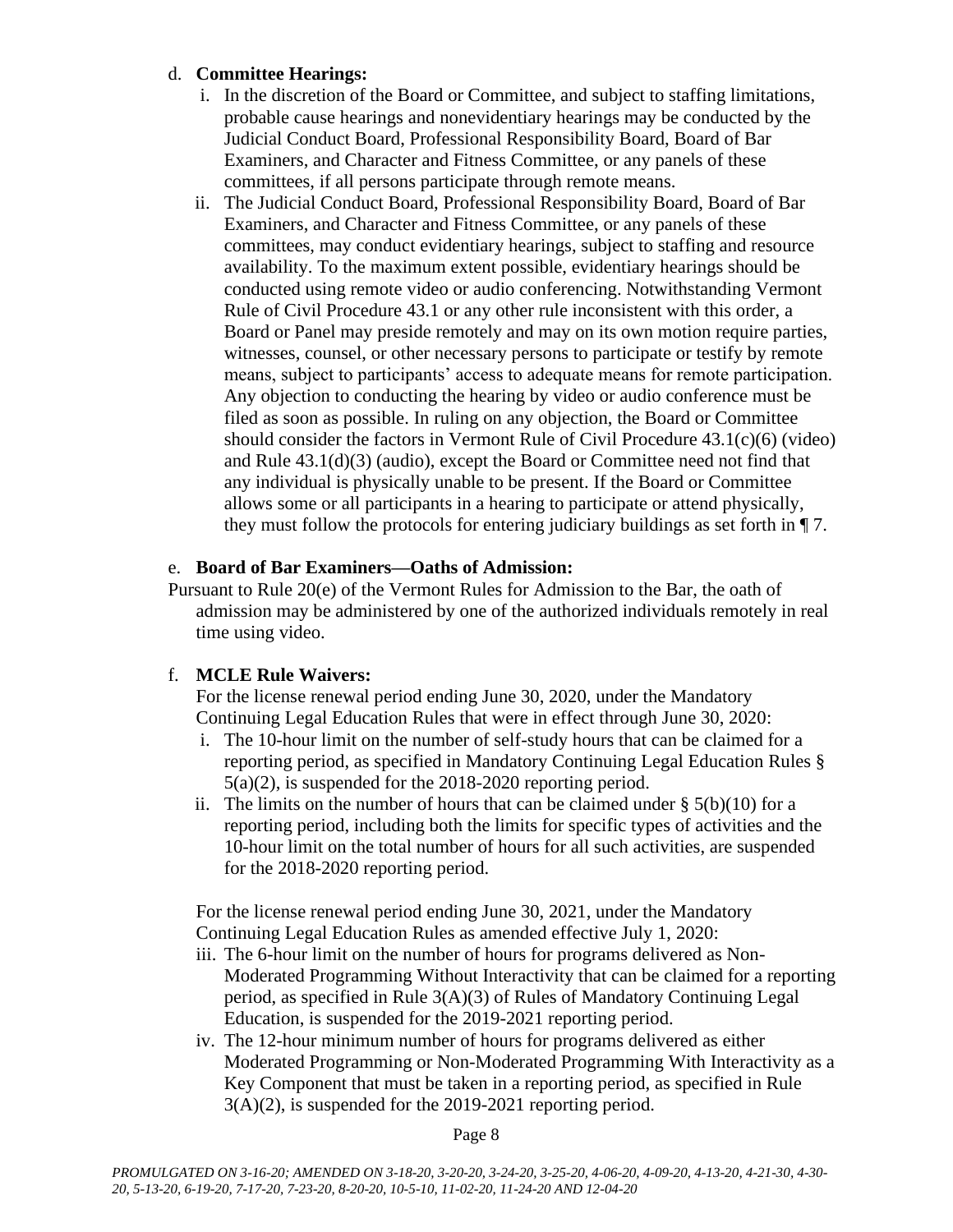## d. **Committee Hearings:**

- i. In the discretion of the Board or Committee, and subject to staffing limitations, probable cause hearings and nonevidentiary hearings may be conducted by the Judicial Conduct Board, Professional Responsibility Board, Board of Bar Examiners, and Character and Fitness Committee, or any panels of these committees, if all persons participate through remote means.
- ii. The Judicial Conduct Board, Professional Responsibility Board, Board of Bar Examiners, and Character and Fitness Committee, or any panels of these committees, may conduct evidentiary hearings, subject to staffing and resource availability. To the maximum extent possible, evidentiary hearings should be conducted using remote video or audio conferencing. Notwithstanding Vermont Rule of Civil Procedure 43.1 or any other rule inconsistent with this order, a Board or Panel may preside remotely and may on its own motion require parties, witnesses, counsel, or other necessary persons to participate or testify by remote means, subject to participants' access to adequate means for remote participation. Any objection to conducting the hearing by video or audio conference must be filed as soon as possible. In ruling on any objection, the Board or Committee should consider the factors in Vermont Rule of Civil Procedure  $43.1(c)(6)$  (video) and Rule 43.1(d)(3) (audio), except the Board or Committee need not find that any individual is physically unable to be present. If the Board or Committee allows some or all participants in a hearing to participate or attend physically, they must follow the protocols for entering judiciary buildings as set forth in ¶ 7.

### e. **Board of Bar Examiners—Oaths of Admission:**

Pursuant to Rule 20(e) of the Vermont Rules for Admission to the Bar, the oath of admission may be administered by one of the authorized individuals remotely in real time using video.

## f. **MCLE Rule Waivers:**

For the license renewal period ending June 30, 2020, under the Mandatory Continuing Legal Education Rules that were in effect through June 30, 2020:

- i. The 10-hour limit on the number of self-study hours that can be claimed for a reporting period, as specified in Mandatory Continuing Legal Education Rules § 5(a)(2), is suspended for the 2018-2020 reporting period.
- ii. The limits on the number of hours that can be claimed under  $\S$  5(b)(10) for a reporting period, including both the limits for specific types of activities and the 10-hour limit on the total number of hours for all such activities, are suspended for the 2018-2020 reporting period.

For the license renewal period ending June 30, 2021, under the Mandatory Continuing Legal Education Rules as amended effective July 1, 2020:

- iii. The 6-hour limit on the number of hours for programs delivered as Non-Moderated Programming Without Interactivity that can be claimed for a reporting period, as specified in Rule 3(A)(3) of Rules of Mandatory Continuing Legal Education, is suspended for the 2019-2021 reporting period.
- iv. The 12-hour minimum number of hours for programs delivered as either Moderated Programming or Non-Moderated Programming With Interactivity as a Key Component that must be taken in a reporting period, as specified in Rule 3(A)(2), is suspended for the 2019-2021 reporting period.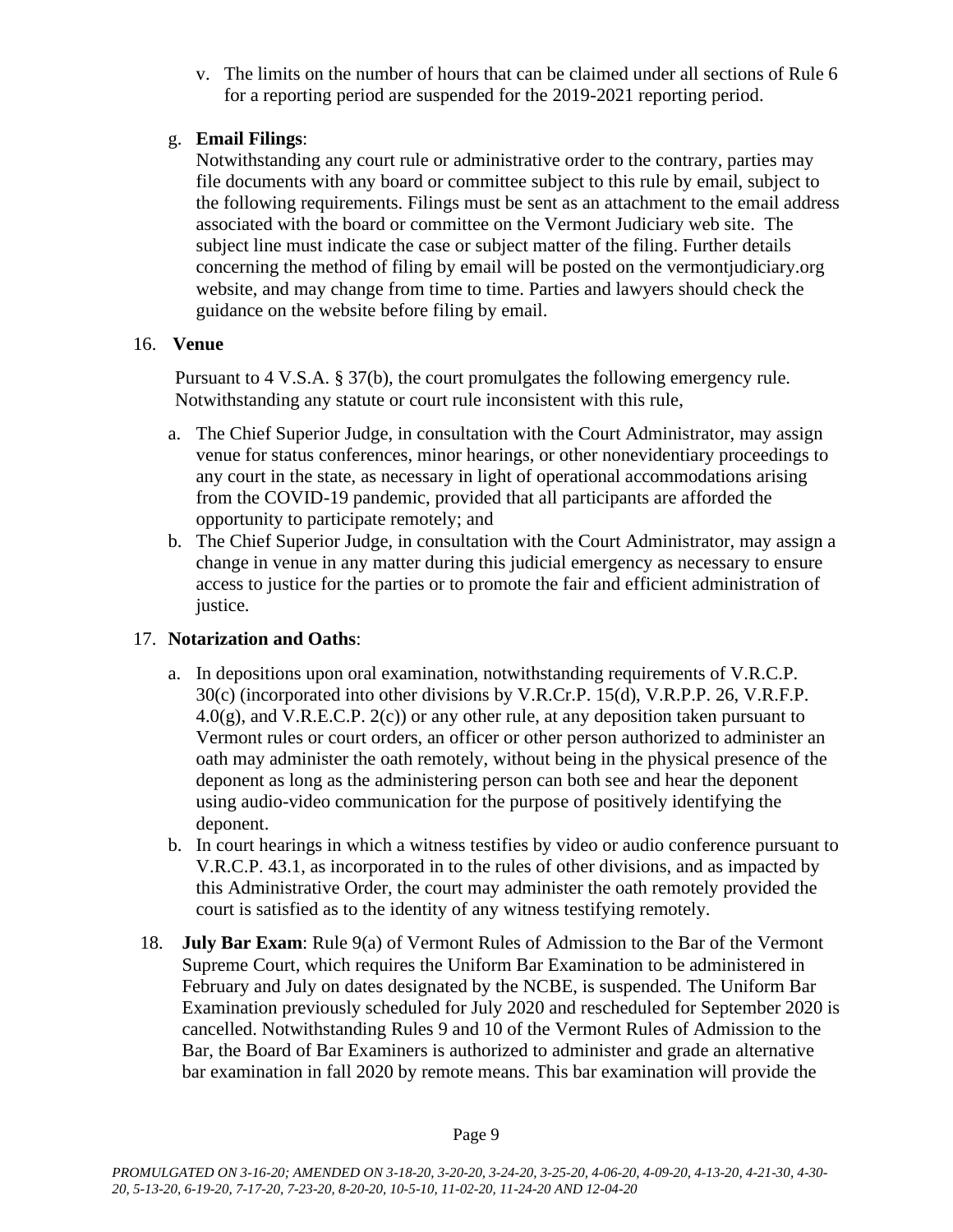v. The limits on the number of hours that can be claimed under all sections of Rule 6 for a reporting period are suspended for the 2019-2021 reporting period.

### g. **Email Filings**:

Notwithstanding any court rule or administrative order to the contrary, parties may file documents with any board or committee subject to this rule by email, subject to the following requirements. Filings must be sent as an attachment to the email address associated with the board or committee on the Vermont Judiciary web site. The subject line must indicate the case or subject matter of the filing. Further details concerning the method of filing by email will be posted on the vermontjudiciary.org website, and may change from time to time. Parties and lawyers should check the guidance on the website before filing by email.

### 16. **Venue**

Pursuant to 4 V.S.A. § 37(b), the court promulgates the following emergency rule. Notwithstanding any statute or court rule inconsistent with this rule,

- a. The Chief Superior Judge, in consultation with the Court Administrator, may assign venue for status conferences, minor hearings, or other nonevidentiary proceedings to any court in the state, as necessary in light of operational accommodations arising from the COVID-19 pandemic, provided that all participants are afforded the opportunity to participate remotely; and
- b. The Chief Superior Judge, in consultation with the Court Administrator, may assign a change in venue in any matter during this judicial emergency as necessary to ensure access to justice for the parties or to promote the fair and efficient administration of justice.

## 17. **Notarization and Oaths**:

- a. In depositions upon oral examination, notwithstanding requirements of V.R.C.P. 30(c) (incorporated into other divisions by V.R.Cr.P. 15(d), V.R.P.P. 26, V.R.F.P.  $4.0(g)$ , and V.R.E.C.P.  $2(c)$  or any other rule, at any deposition taken pursuant to Vermont rules or court orders, an officer or other person authorized to administer an oath may administer the oath remotely, without being in the physical presence of the deponent as long as the administering person can both see and hear the deponent using audio-video communication for the purpose of positively identifying the deponent.
- b. In court hearings in which a witness testifies by video or audio conference pursuant to V.R.C.P. 43.1, as incorporated in to the rules of other divisions, and as impacted by this Administrative Order, the court may administer the oath remotely provided the court is satisfied as to the identity of any witness testifying remotely.
- 18. **July Bar Exam**: Rule 9(a) of Vermont Rules of Admission to the Bar of the Vermont Supreme Court, which requires the Uniform Bar Examination to be administered in February and July on dates designated by the NCBE, is suspended. The Uniform Bar Examination previously scheduled for July 2020 and rescheduled for September 2020 is cancelled. Notwithstanding Rules 9 and 10 of the Vermont Rules of Admission to the Bar, the Board of Bar Examiners is authorized to administer and grade an alternative bar examination in fall 2020 by remote means. This bar examination will provide the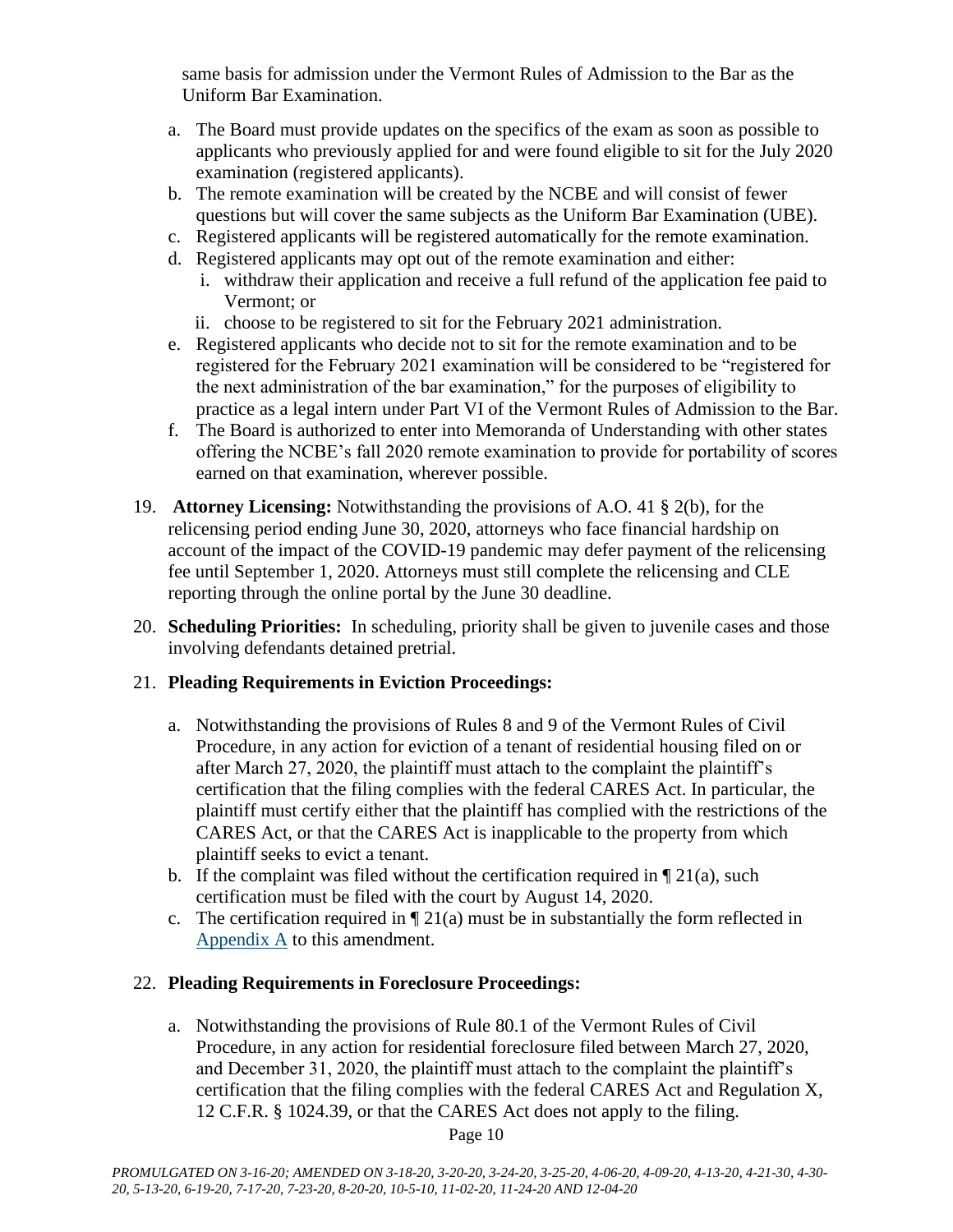same basis for admission under the Vermont Rules of Admission to the Bar as the Uniform Bar Examination.

- a. The Board must provide updates on the specifics of the exam as soon as possible to applicants who previously applied for and were found eligible to sit for the July 2020 examination (registered applicants).
- b. The remote examination will be created by the NCBE and will consist of fewer questions but will cover the same subjects as the Uniform Bar Examination (UBE).
- c. Registered applicants will be registered automatically for the remote examination.
- d. Registered applicants may opt out of the remote examination and either:
	- i. withdraw their application and receive a full refund of the application fee paid to Vermont; or
	- ii. choose to be registered to sit for the February 2021 administration.
- e. Registered applicants who decide not to sit for the remote examination and to be registered for the February 2021 examination will be considered to be "registered for the next administration of the bar examination," for the purposes of eligibility to practice as a legal intern under Part VI of the Vermont Rules of Admission to the Bar.
- f. The Board is authorized to enter into Memoranda of Understanding with other states offering the NCBE's fall 2020 remote examination to provide for portability of scores earned on that examination, wherever possible.
- 19. **Attorney Licensing:** Notwithstanding the provisions of A.O. 41 § 2(b), for the relicensing period ending June 30, 2020, attorneys who face financial hardship on account of the impact of the COVID-19 pandemic may defer payment of the relicensing fee until September 1, 2020. Attorneys must still complete the relicensing and CLE reporting through the online portal by the June 30 deadline.
- 20. **Scheduling Priorities:** In scheduling, priority shall be given to juvenile cases and those involving defendants detained pretrial.

# 21. **Pleading Requirements in Eviction Proceedings:**

- a. Notwithstanding the provisions of Rules 8 and 9 of the Vermont Rules of Civil Procedure, in any action for eviction of a tenant of residential housing filed on or after March 27, 2020, the plaintiff must attach to the complaint the plaintiff's certification that the filing complies with the federal CARES Act. In particular, the plaintiff must certify either that the plaintiff has complied with the restrictions of the CARES Act, or that the CARES Act is inapplicable to the property from which plaintiff seeks to evict a tenant.
- b. If the complaint was filed without the certification required in  $\P$  21(a), such certification must be filed with the court by August 14, 2020.
- c. The certification required in  $\P$  21(a) must be in substantially the form reflected in [Appendix A](https://www.vermontjudiciary.org/sites/default/files/documents/Appendix%20A_0.pdf) to this amendment.

## 22. **Pleading Requirements in Foreclosure Proceedings:**

a. Notwithstanding the provisions of Rule 80.1 of the Vermont Rules of Civil Procedure, in any action for residential foreclosure filed between March 27, 2020, and December 31, 2020, the plaintiff must attach to the complaint the plaintiff's certification that the filing complies with the federal CARES Act and Regulation X, 12 C.F.R. § 1024.39, or that the CARES Act does not apply to the filing.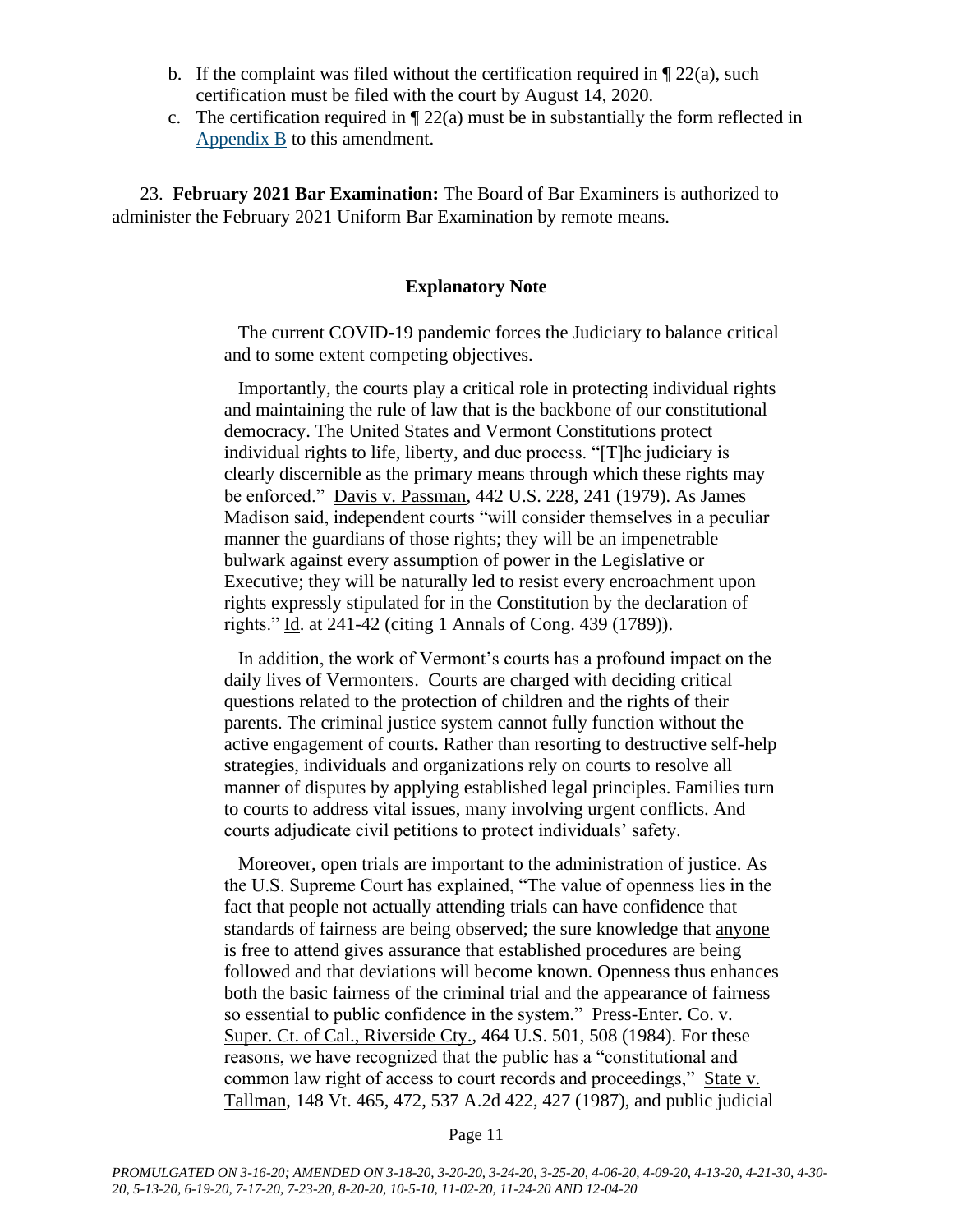- b. If the complaint was filed without the certification required in  $\P$  22(a), such certification must be filed with the court by August 14, 2020.
- c. The certification required in  $\sqrt{22(a)}$  must be in substantially the form reflected in [Appendix B](https://www.vermontjudiciary.org/sites/default/files/documents/Appendix%20B.pdf) to this amendment.

23. **February 2021 Bar Examination:** The Board of Bar Examiners is authorized to administer the February 2021 Uniform Bar Examination by remote means.

#### **Explanatory Note**

The current COVID-19 pandemic forces the Judiciary to balance critical and to some extent competing objectives.

Importantly, the courts play a critical role in protecting individual rights and maintaining the rule of law that is the backbone of our constitutional democracy. The United States and Vermont Constitutions protect individual rights to life, liberty, and due process. "[T]he judiciary is clearly discernible as the primary means through which these rights may be enforced." Davis v. Passman, 442 U.S. 228, 241 (1979). As James Madison said, independent courts "will consider themselves in a peculiar manner the guardians of those rights; they will be an impenetrable bulwark against every assumption of power in the Legislative or Executive; they will be naturally led to resist every encroachment upon rights expressly stipulated for in the Constitution by the declaration of rights." Id. at 241-42 (citing 1 Annals of Cong. 439 (1789)).

In addition, the work of Vermont's courts has a profound impact on the daily lives of Vermonters. Courts are charged with deciding critical questions related to the protection of children and the rights of their parents. The criminal justice system cannot fully function without the active engagement of courts. Rather than resorting to destructive self-help strategies, individuals and organizations rely on courts to resolve all manner of disputes by applying established legal principles. Families turn to courts to address vital issues, many involving urgent conflicts. And courts adjudicate civil petitions to protect individuals' safety.

Moreover, open trials are important to the administration of justice. As the U.S. Supreme Court has explained, "The value of openness lies in the fact that people not actually attending trials can have confidence that standards of fairness are being observed; the sure knowledge that anyone is free to attend gives assurance that established procedures are being followed and that deviations will become known. Openness thus enhances both the basic fairness of the criminal trial and the appearance of fairness so essential to public confidence in the system." Press-Enter. Co. v. Super. Ct. of Cal., Riverside Cty., 464 U.S. 501, 508 (1984). For these reasons, we have recognized that the public has a "constitutional and common law right of access to court records and proceedings," State v. Tallman, 148 Vt. 465, 472, 537 A.2d 422, 427 (1987), and public judicial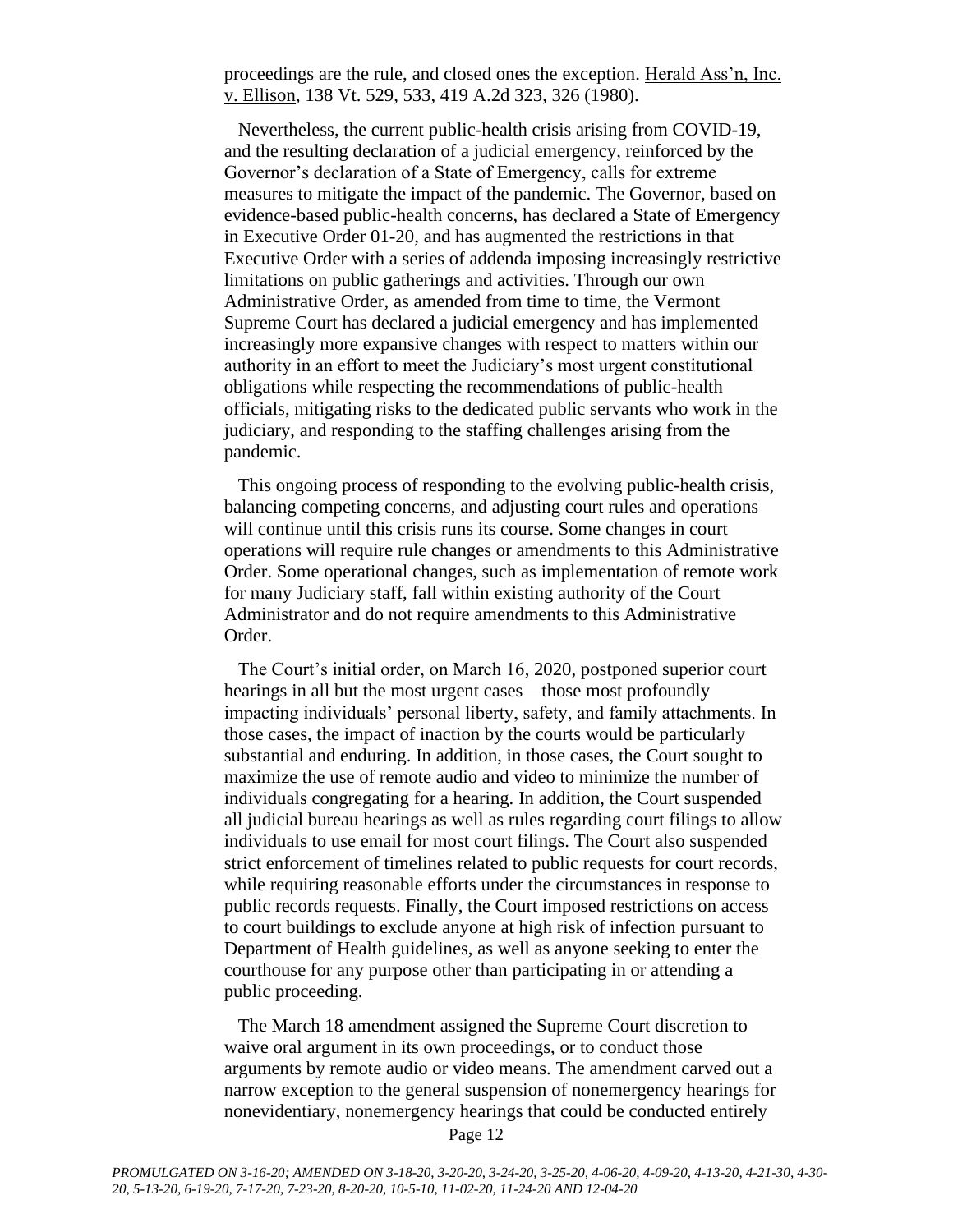proceedings are the rule, and closed ones the exception. Herald Ass'n, Inc. v. Ellison, 138 Vt. 529, 533, 419 A.2d 323, 326 (1980).

Nevertheless, the current public-health crisis arising from COVID-19, and the resulting declaration of a judicial emergency, reinforced by the Governor's declaration of a State of Emergency, calls for extreme measures to mitigate the impact of the pandemic. The Governor, based on evidence-based public-health concerns, has declared a State of Emergency in Executive Order 01-20, and has augmented the restrictions in that Executive Order with a series of addenda imposing increasingly restrictive limitations on public gatherings and activities. Through our own Administrative Order, as amended from time to time, the Vermont Supreme Court has declared a judicial emergency and has implemented increasingly more expansive changes with respect to matters within our authority in an effort to meet the Judiciary's most urgent constitutional obligations while respecting the recommendations of public-health officials, mitigating risks to the dedicated public servants who work in the judiciary, and responding to the staffing challenges arising from the pandemic.

This ongoing process of responding to the evolving public-health crisis, balancing competing concerns, and adjusting court rules and operations will continue until this crisis runs its course. Some changes in court operations will require rule changes or amendments to this Administrative Order. Some operational changes, such as implementation of remote work for many Judiciary staff, fall within existing authority of the Court Administrator and do not require amendments to this Administrative Order.

The Court's initial order, on March 16, 2020, postponed superior court hearings in all but the most urgent cases—those most profoundly impacting individuals' personal liberty, safety, and family attachments. In those cases, the impact of inaction by the courts would be particularly substantial and enduring. In addition, in those cases, the Court sought to maximize the use of remote audio and video to minimize the number of individuals congregating for a hearing. In addition, the Court suspended all judicial bureau hearings as well as rules regarding court filings to allow individuals to use email for most court filings. The Court also suspended strict enforcement of timelines related to public requests for court records, while requiring reasonable efforts under the circumstances in response to public records requests. Finally, the Court imposed restrictions on access to court buildings to exclude anyone at high risk of infection pursuant to Department of Health guidelines, as well as anyone seeking to enter the courthouse for any purpose other than participating in or attending a public proceeding.

The March 18 amendment assigned the Supreme Court discretion to waive oral argument in its own proceedings, or to conduct those arguments by remote audio or video means. The amendment carved out a narrow exception to the general suspension of nonemergency hearings for nonevidentiary, nonemergency hearings that could be conducted entirely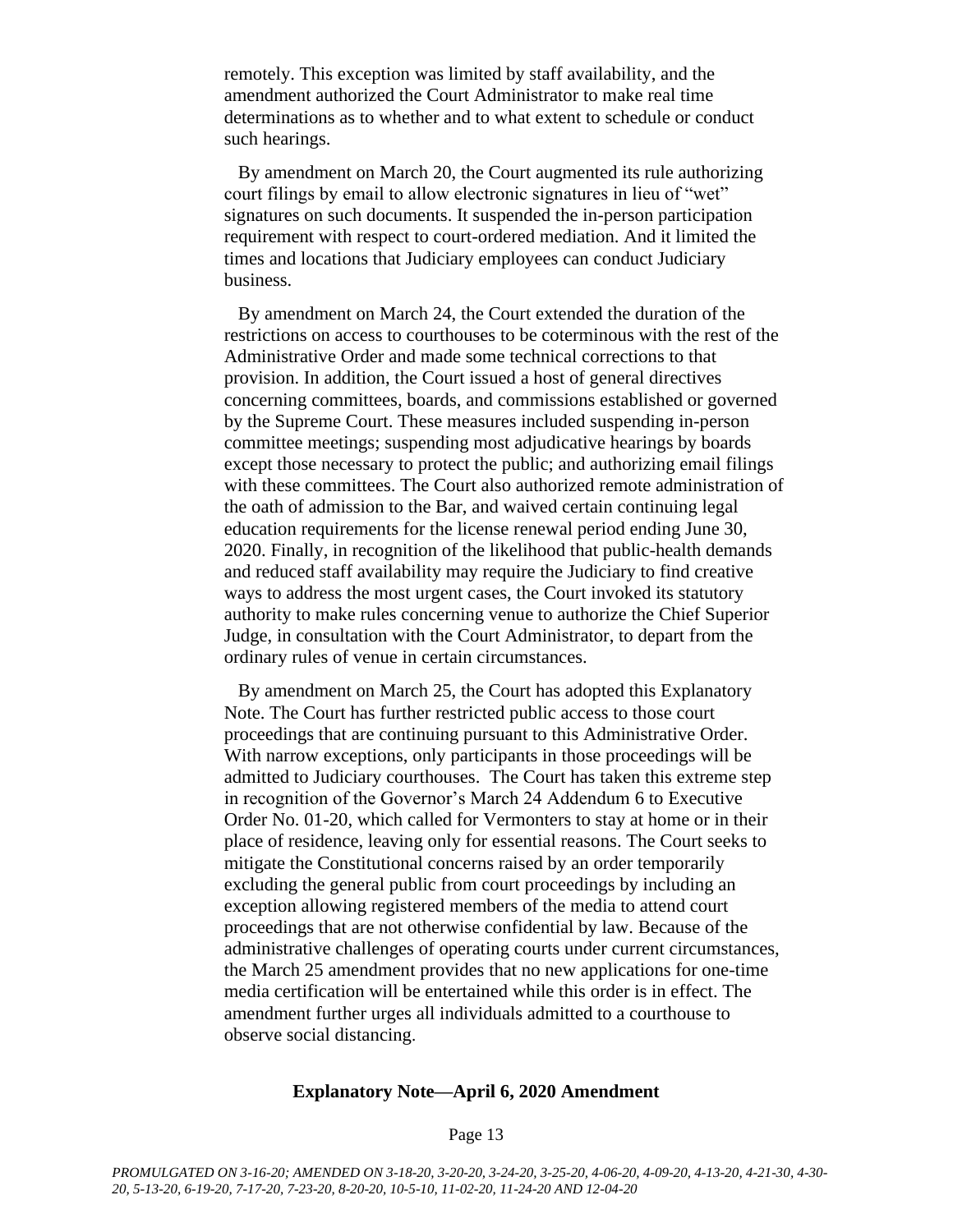remotely. This exception was limited by staff availability, and the amendment authorized the Court Administrator to make real time determinations as to whether and to what extent to schedule or conduct such hearings.

By amendment on March 20, the Court augmented its rule authorizing court filings by email to allow electronic signatures in lieu of "wet" signatures on such documents. It suspended the in-person participation requirement with respect to court-ordered mediation. And it limited the times and locations that Judiciary employees can conduct Judiciary business.

By amendment on March 24, the Court extended the duration of the restrictions on access to courthouses to be coterminous with the rest of the Administrative Order and made some technical corrections to that provision. In addition, the Court issued a host of general directives concerning committees, boards, and commissions established or governed by the Supreme Court. These measures included suspending in-person committee meetings; suspending most adjudicative hearings by boards except those necessary to protect the public; and authorizing email filings with these committees. The Court also authorized remote administration of the oath of admission to the Bar, and waived certain continuing legal education requirements for the license renewal period ending June 30, 2020. Finally, in recognition of the likelihood that public-health demands and reduced staff availability may require the Judiciary to find creative ways to address the most urgent cases, the Court invoked its statutory authority to make rules concerning venue to authorize the Chief Superior Judge, in consultation with the Court Administrator, to depart from the ordinary rules of venue in certain circumstances.

By amendment on March 25, the Court has adopted this Explanatory Note. The Court has further restricted public access to those court proceedings that are continuing pursuant to this Administrative Order. With narrow exceptions, only participants in those proceedings will be admitted to Judiciary courthouses. The Court has taken this extreme step in recognition of the Governor's March 24 Addendum 6 to Executive Order No. 01-20, which called for Vermonters to stay at home or in their place of residence, leaving only for essential reasons. The Court seeks to mitigate the Constitutional concerns raised by an order temporarily excluding the general public from court proceedings by including an exception allowing registered members of the media to attend court proceedings that are not otherwise confidential by law. Because of the administrative challenges of operating courts under current circumstances, the March 25 amendment provides that no new applications for one-time media certification will be entertained while this order is in effect. The amendment further urges all individuals admitted to a courthouse to observe social distancing.

#### **Explanatory Note—April 6, 2020 Amendment**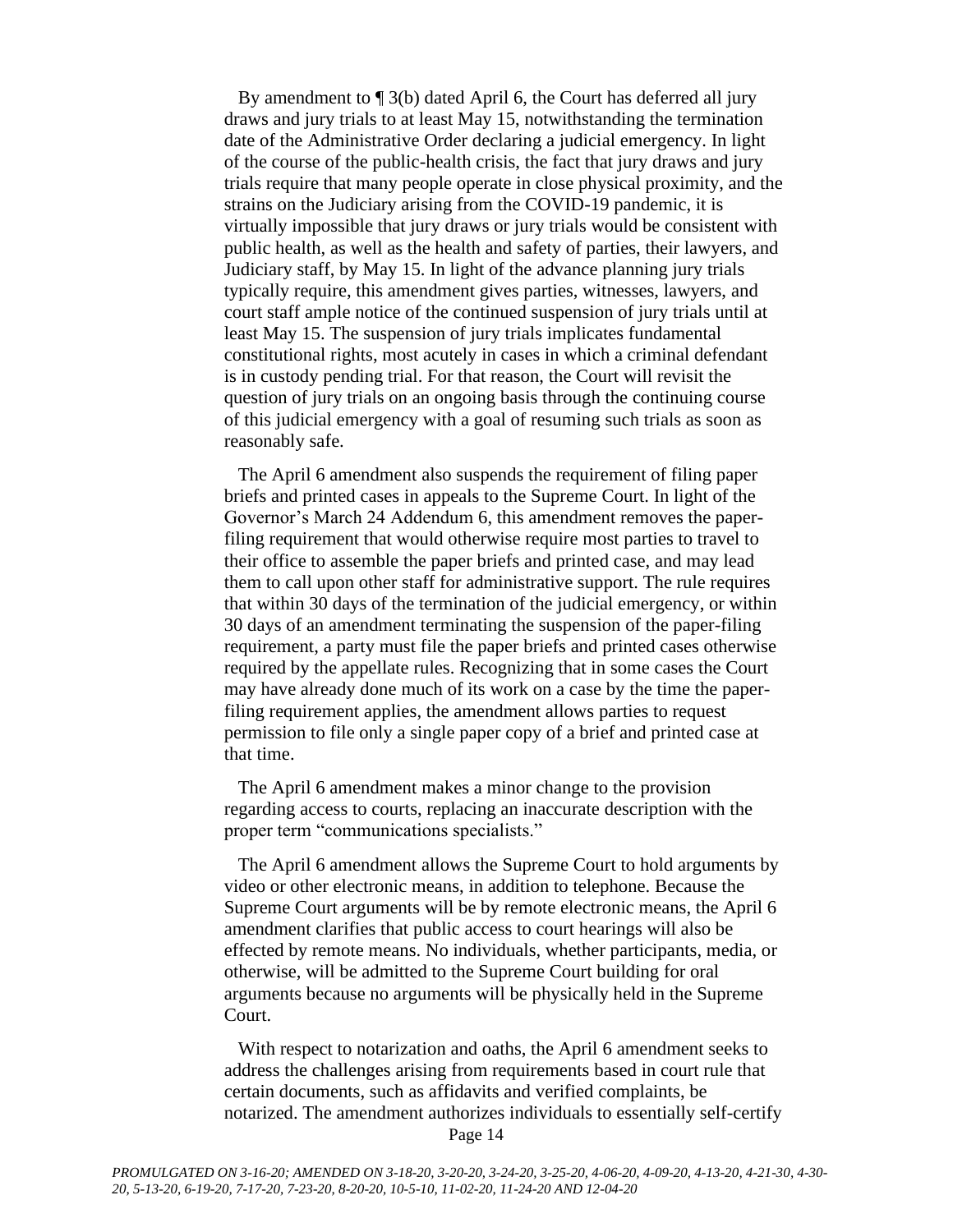By amendment to ¶ 3(b) dated April 6, the Court has deferred all jury draws and jury trials to at least May 15, notwithstanding the termination date of the Administrative Order declaring a judicial emergency. In light of the course of the public-health crisis, the fact that jury draws and jury trials require that many people operate in close physical proximity, and the strains on the Judiciary arising from the COVID-19 pandemic, it is virtually impossible that jury draws or jury trials would be consistent with public health, as well as the health and safety of parties, their lawyers, and Judiciary staff, by May 15. In light of the advance planning jury trials typically require, this amendment gives parties, witnesses, lawyers, and court staff ample notice of the continued suspension of jury trials until at least May 15. The suspension of jury trials implicates fundamental constitutional rights, most acutely in cases in which a criminal defendant is in custody pending trial. For that reason, the Court will revisit the question of jury trials on an ongoing basis through the continuing course of this judicial emergency with a goal of resuming such trials as soon as reasonably safe.

The April 6 amendment also suspends the requirement of filing paper briefs and printed cases in appeals to the Supreme Court. In light of the Governor's March 24 Addendum 6, this amendment removes the paperfiling requirement that would otherwise require most parties to travel to their office to assemble the paper briefs and printed case, and may lead them to call upon other staff for administrative support. The rule requires that within 30 days of the termination of the judicial emergency, or within 30 days of an amendment terminating the suspension of the paper-filing requirement, a party must file the paper briefs and printed cases otherwise required by the appellate rules. Recognizing that in some cases the Court may have already done much of its work on a case by the time the paperfiling requirement applies, the amendment allows parties to request permission to file only a single paper copy of a brief and printed case at that time.

The April 6 amendment makes a minor change to the provision regarding access to courts, replacing an inaccurate description with the proper term "communications specialists."

The April 6 amendment allows the Supreme Court to hold arguments by video or other electronic means, in addition to telephone. Because the Supreme Court arguments will be by remote electronic means, the April 6 amendment clarifies that public access to court hearings will also be effected by remote means. No individuals, whether participants, media, or otherwise, will be admitted to the Supreme Court building for oral arguments because no arguments will be physically held in the Supreme Court.

With respect to notarization and oaths, the April 6 amendment seeks to address the challenges arising from requirements based in court rule that certain documents, such as affidavits and verified complaints, be notarized. The amendment authorizes individuals to essentially self-certify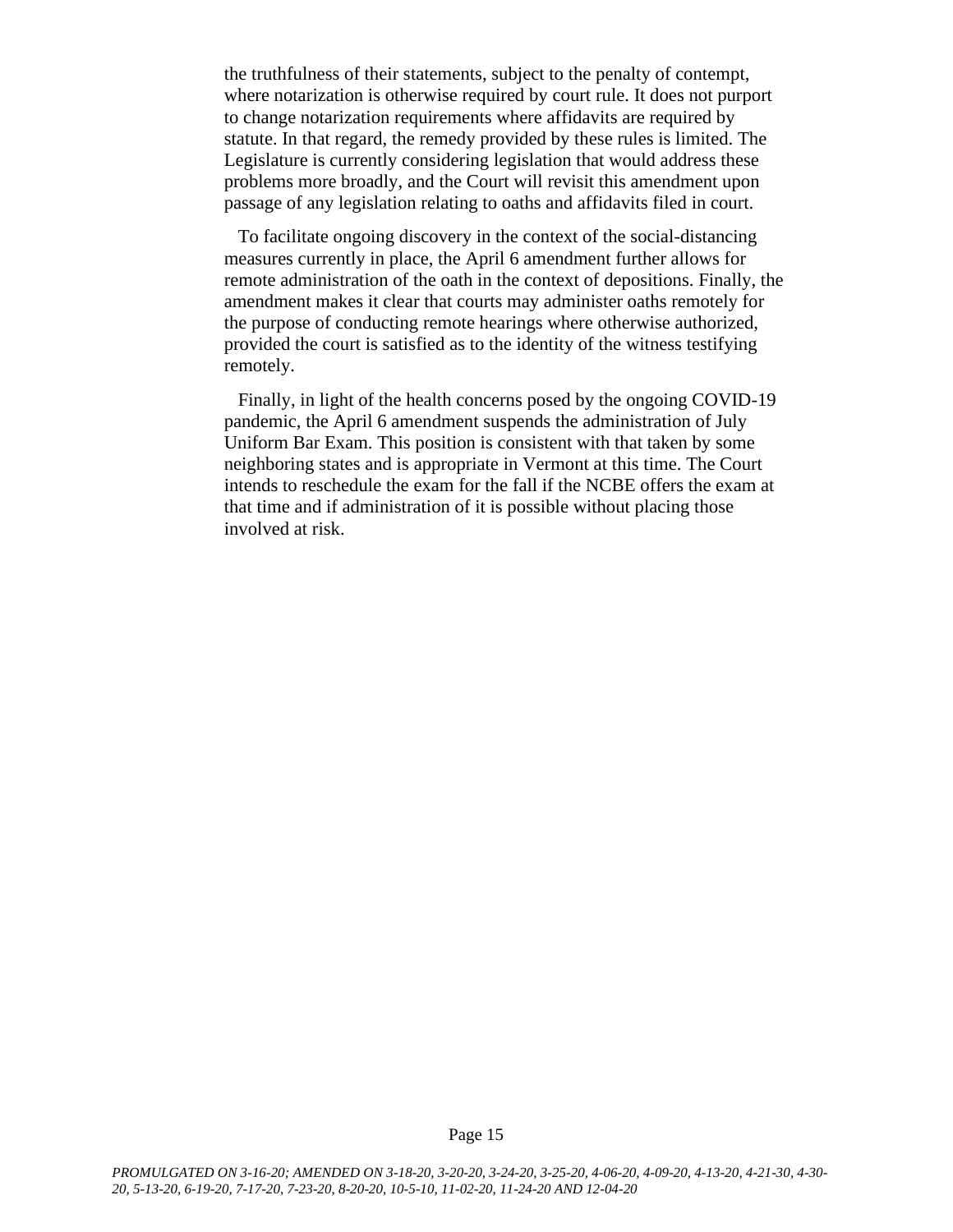the truthfulness of their statements, subject to the penalty of contempt, where notarization is otherwise required by court rule. It does not purport to change notarization requirements where affidavits are required by statute. In that regard, the remedy provided by these rules is limited. The Legislature is currently considering legislation that would address these problems more broadly, and the Court will revisit this amendment upon passage of any legislation relating to oaths and affidavits filed in court.

To facilitate ongoing discovery in the context of the social-distancing measures currently in place, the April 6 amendment further allows for remote administration of the oath in the context of depositions. Finally, the amendment makes it clear that courts may administer oaths remotely for the purpose of conducting remote hearings where otherwise authorized, provided the court is satisfied as to the identity of the witness testifying remotely.

Finally, in light of the health concerns posed by the ongoing COVID-19 pandemic, the April 6 amendment suspends the administration of July Uniform Bar Exam. This position is consistent with that taken by some neighboring states and is appropriate in Vermont at this time. The Court intends to reschedule the exam for the fall if the NCBE offers the exam at that time and if administration of it is possible without placing those involved at risk.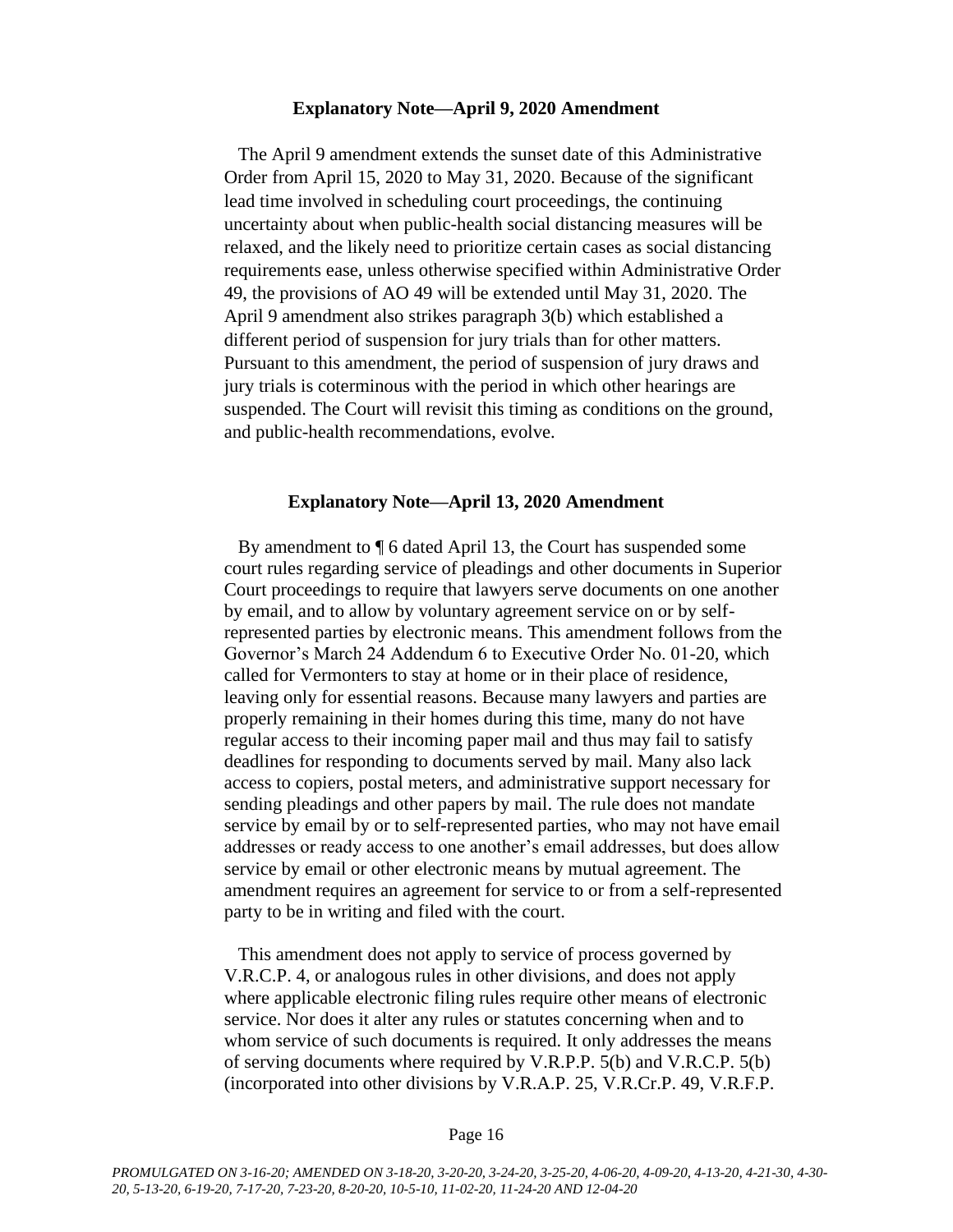#### **Explanatory Note—April 9, 2020 Amendment**

The April 9 amendment extends the sunset date of this Administrative Order from April 15, 2020 to May 31, 2020. Because of the significant lead time involved in scheduling court proceedings, the continuing uncertainty about when public-health social distancing measures will be relaxed, and the likely need to prioritize certain cases as social distancing requirements ease, unless otherwise specified within Administrative Order 49, the provisions of AO 49 will be extended until May 31, 2020. The April 9 amendment also strikes paragraph 3(b) which established a different period of suspension for jury trials than for other matters. Pursuant to this amendment, the period of suspension of jury draws and jury trials is coterminous with the period in which other hearings are suspended. The Court will revisit this timing as conditions on the ground, and public-health recommendations, evolve.

#### **Explanatory Note—April 13, 2020 Amendment**

By amendment to ¶ 6 dated April 13, the Court has suspended some court rules regarding service of pleadings and other documents in Superior Court proceedings to require that lawyers serve documents on one another by email, and to allow by voluntary agreement service on or by selfrepresented parties by electronic means. This amendment follows from the Governor's March 24 Addendum 6 to Executive Order No. 01-20, which called for Vermonters to stay at home or in their place of residence, leaving only for essential reasons. Because many lawyers and parties are properly remaining in their homes during this time, many do not have regular access to their incoming paper mail and thus may fail to satisfy deadlines for responding to documents served by mail. Many also lack access to copiers, postal meters, and administrative support necessary for sending pleadings and other papers by mail. The rule does not mandate service by email by or to self-represented parties, who may not have email addresses or ready access to one another's email addresses, but does allow service by email or other electronic means by mutual agreement. The amendment requires an agreement for service to or from a self-represented party to be in writing and filed with the court.

This amendment does not apply to service of process governed by V.R.C.P. 4, or analogous rules in other divisions, and does not apply where applicable electronic filing rules require other means of electronic service. Nor does it alter any rules or statutes concerning when and to whom service of such documents is required. It only addresses the means of serving documents where required by V.R.P.P. 5(b) and V.R.C.P. 5(b) (incorporated into other divisions by V.R.A.P. 25, V.R.Cr.P. 49, V.R.F.P.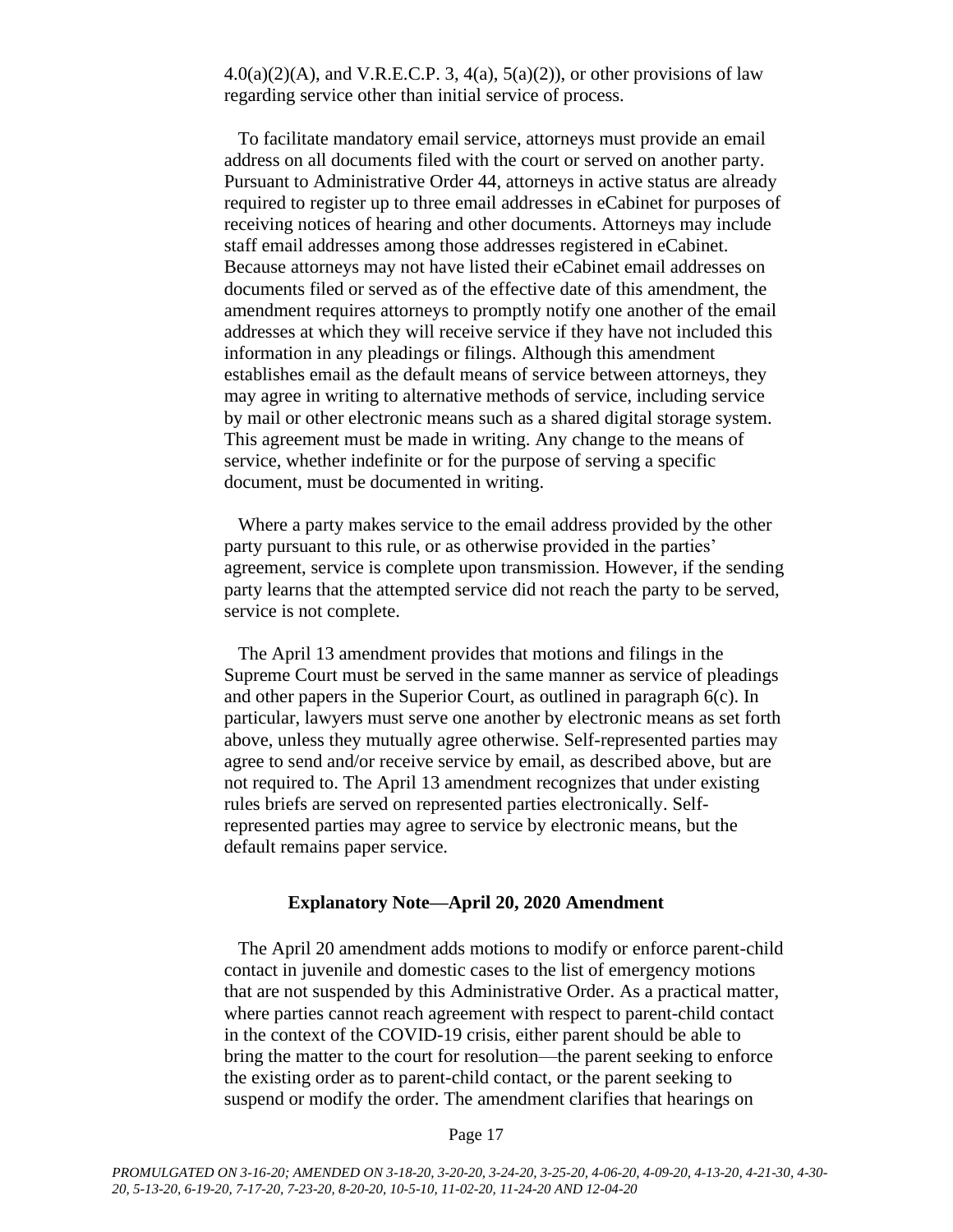$4.0(a)(2)(A)$ , and V.R.E.C.P. 3,  $4(a)$ ,  $5(a)(2)$ ), or other provisions of law regarding service other than initial service of process.

To facilitate mandatory email service, attorneys must provide an email address on all documents filed with the court or served on another party. Pursuant to Administrative Order 44, attorneys in active status are already required to register up to three email addresses in eCabinet for purposes of receiving notices of hearing and other documents. Attorneys may include staff email addresses among those addresses registered in eCabinet. Because attorneys may not have listed their eCabinet email addresses on documents filed or served as of the effective date of this amendment, the amendment requires attorneys to promptly notify one another of the email addresses at which they will receive service if they have not included this information in any pleadings or filings. Although this amendment establishes email as the default means of service between attorneys, they may agree in writing to alternative methods of service, including service by mail or other electronic means such as a shared digital storage system. This agreement must be made in writing. Any change to the means of service, whether indefinite or for the purpose of serving a specific document, must be documented in writing.

Where a party makes service to the email address provided by the other party pursuant to this rule, or as otherwise provided in the parties' agreement, service is complete upon transmission. However, if the sending party learns that the attempted service did not reach the party to be served, service is not complete.

The April 13 amendment provides that motions and filings in the Supreme Court must be served in the same manner as service of pleadings and other papers in the Superior Court, as outlined in paragraph 6(c). In particular, lawyers must serve one another by electronic means as set forth above, unless they mutually agree otherwise. Self-represented parties may agree to send and/or receive service by email, as described above, but are not required to. The April 13 amendment recognizes that under existing rules briefs are served on represented parties electronically. Selfrepresented parties may agree to service by electronic means, but the default remains paper service.

#### **Explanatory Note—April 20, 2020 Amendment**

The April 20 amendment adds motions to modify or enforce parent-child contact in juvenile and domestic cases to the list of emergency motions that are not suspended by this Administrative Order. As a practical matter, where parties cannot reach agreement with respect to parent-child contact in the context of the COVID-19 crisis, either parent should be able to bring the matter to the court for resolution—the parent seeking to enforce the existing order as to parent-child contact, or the parent seeking to suspend or modify the order. The amendment clarifies that hearings on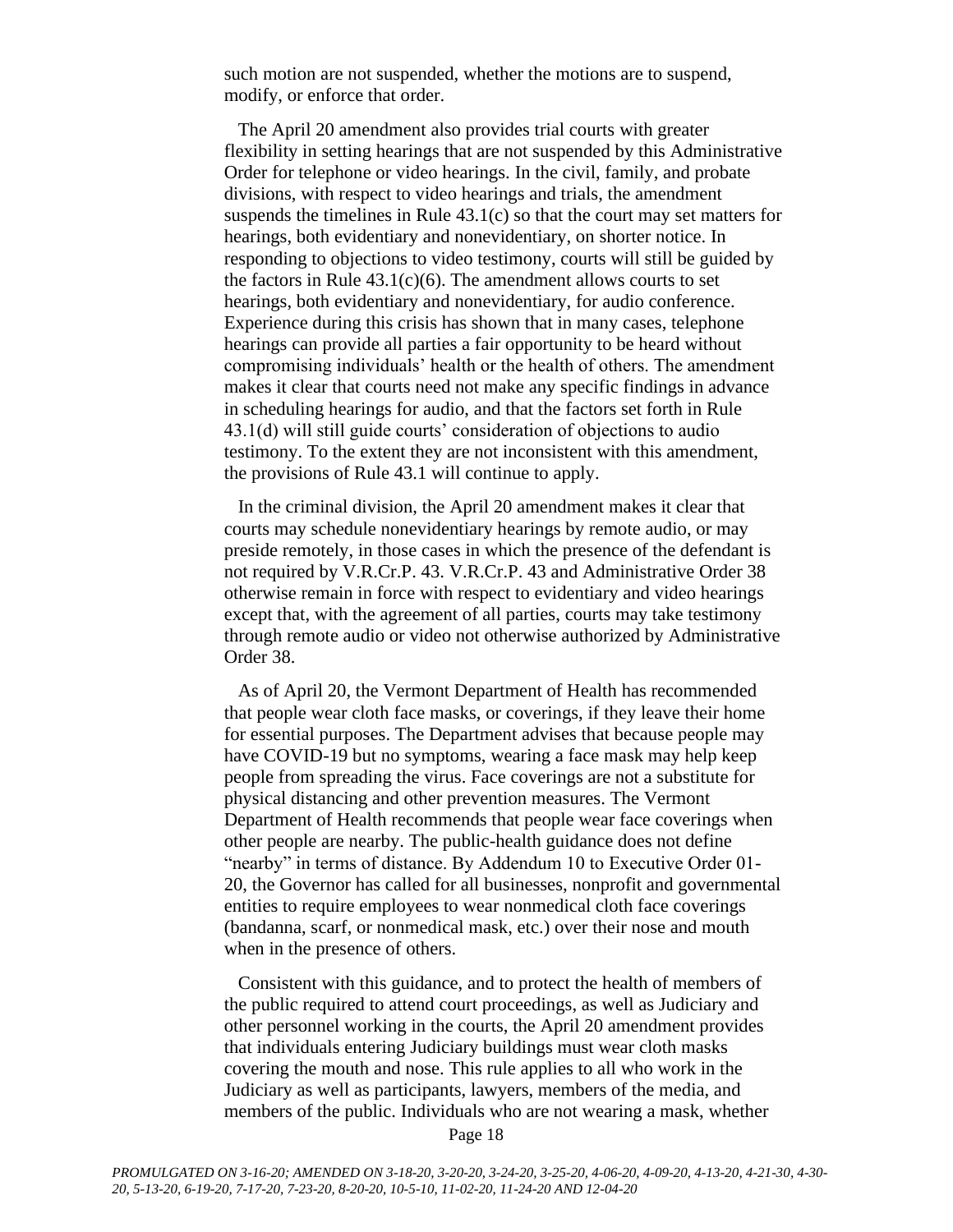such motion are not suspended, whether the motions are to suspend, modify, or enforce that order.

The April 20 amendment also provides trial courts with greater flexibility in setting hearings that are not suspended by this Administrative Order for telephone or video hearings. In the civil, family, and probate divisions, with respect to video hearings and trials, the amendment suspends the timelines in Rule 43.1(c) so that the court may set matters for hearings, both evidentiary and nonevidentiary, on shorter notice. In responding to objections to video testimony, courts will still be guided by the factors in Rule  $43.1(c)(6)$ . The amendment allows courts to set hearings, both evidentiary and nonevidentiary, for audio conference. Experience during this crisis has shown that in many cases, telephone hearings can provide all parties a fair opportunity to be heard without compromising individuals' health or the health of others. The amendment makes it clear that courts need not make any specific findings in advance in scheduling hearings for audio, and that the factors set forth in Rule 43.1(d) will still guide courts' consideration of objections to audio testimony. To the extent they are not inconsistent with this amendment, the provisions of Rule 43.1 will continue to apply.

In the criminal division, the April 20 amendment makes it clear that courts may schedule nonevidentiary hearings by remote audio, or may preside remotely, in those cases in which the presence of the defendant is not required by V.R.Cr.P. 43. V.R.Cr.P. 43 and Administrative Order 38 otherwise remain in force with respect to evidentiary and video hearings except that, with the agreement of all parties, courts may take testimony through remote audio or video not otherwise authorized by Administrative Order 38.

As of April 20, the Vermont Department of Health has recommended that people wear cloth face masks, or coverings, if they leave their home for essential purposes. The Department advises that because people may have COVID-19 but no symptoms, wearing a face mask may help keep people from spreading the virus. Face coverings are not a substitute for physical distancing and other prevention measures. The Vermont Department of Health recommends that people wear face coverings when other people are nearby. The public-health guidance does not define "nearby" in terms of distance. By Addendum 10 to Executive Order 01- 20, the Governor has called for all businesses, nonprofit and governmental entities to require employees to wear nonmedical cloth face coverings (bandanna, scarf, or nonmedical mask, etc.) over their nose and mouth when in the presence of others.

Consistent with this guidance, and to protect the health of members of the public required to attend court proceedings, as well as Judiciary and other personnel working in the courts, the April 20 amendment provides that individuals entering Judiciary buildings must wear cloth masks covering the mouth and nose. This rule applies to all who work in the Judiciary as well as participants, lawyers, members of the media, and members of the public. Individuals who are not wearing a mask, whether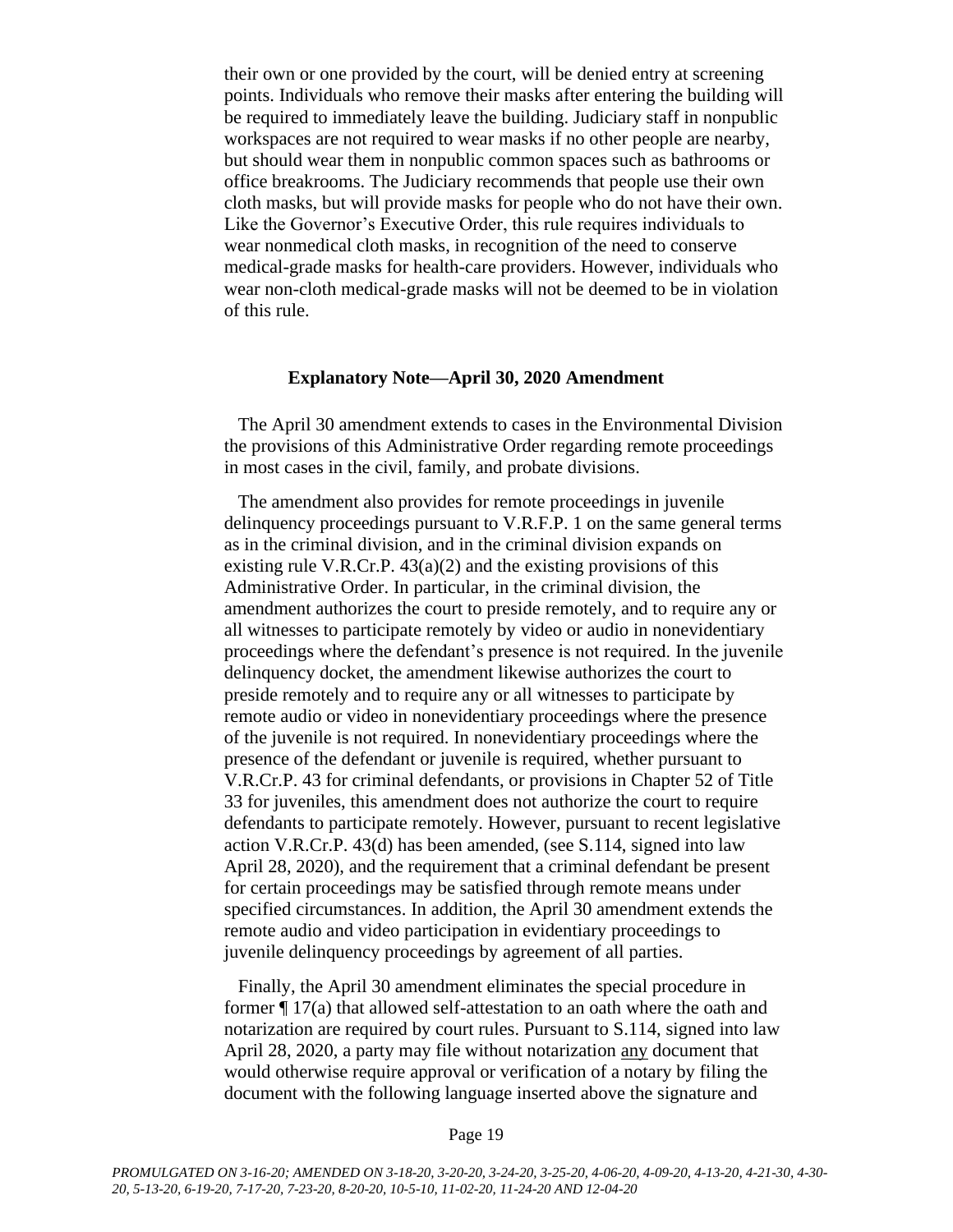their own or one provided by the court, will be denied entry at screening points. Individuals who remove their masks after entering the building will be required to immediately leave the building. Judiciary staff in nonpublic workspaces are not required to wear masks if no other people are nearby, but should wear them in nonpublic common spaces such as bathrooms or office breakrooms. The Judiciary recommends that people use their own cloth masks, but will provide masks for people who do not have their own. Like the Governor's Executive Order, this rule requires individuals to wear nonmedical cloth masks, in recognition of the need to conserve medical-grade masks for health-care providers. However, individuals who wear non-cloth medical-grade masks will not be deemed to be in violation of this rule.

### **Explanatory Note—April 30, 2020 Amendment**

The April 30 amendment extends to cases in the Environmental Division the provisions of this Administrative Order regarding remote proceedings in most cases in the civil, family, and probate divisions.

The amendment also provides for remote proceedings in juvenile delinquency proceedings pursuant to V.R.F.P. 1 on the same general terms as in the criminal division, and in the criminal division expands on existing rule V.R.Cr.P. 43(a)(2) and the existing provisions of this Administrative Order. In particular, in the criminal division, the amendment authorizes the court to preside remotely, and to require any or all witnesses to participate remotely by video or audio in nonevidentiary proceedings where the defendant's presence is not required. In the juvenile delinquency docket, the amendment likewise authorizes the court to preside remotely and to require any or all witnesses to participate by remote audio or video in nonevidentiary proceedings where the presence of the juvenile is not required. In nonevidentiary proceedings where the presence of the defendant or juvenile is required, whether pursuant to V.R.Cr.P. 43 for criminal defendants, or provisions in Chapter 52 of Title 33 for juveniles, this amendment does not authorize the court to require defendants to participate remotely. However, pursuant to recent legislative action V.R.Cr.P. 43(d) has been amended, (see S.114, signed into law April 28, 2020), and the requirement that a criminal defendant be present for certain proceedings may be satisfied through remote means under specified circumstances. In addition, the April 30 amendment extends the remote audio and video participation in evidentiary proceedings to juvenile delinquency proceedings by agreement of all parties.

Finally, the April 30 amendment eliminates the special procedure in former ¶ 17(a) that allowed self-attestation to an oath where the oath and notarization are required by court rules. Pursuant to S.114, signed into law April 28, 2020, a party may file without notarization any document that would otherwise require approval or verification of a notary by filing the document with the following language inserted above the signature and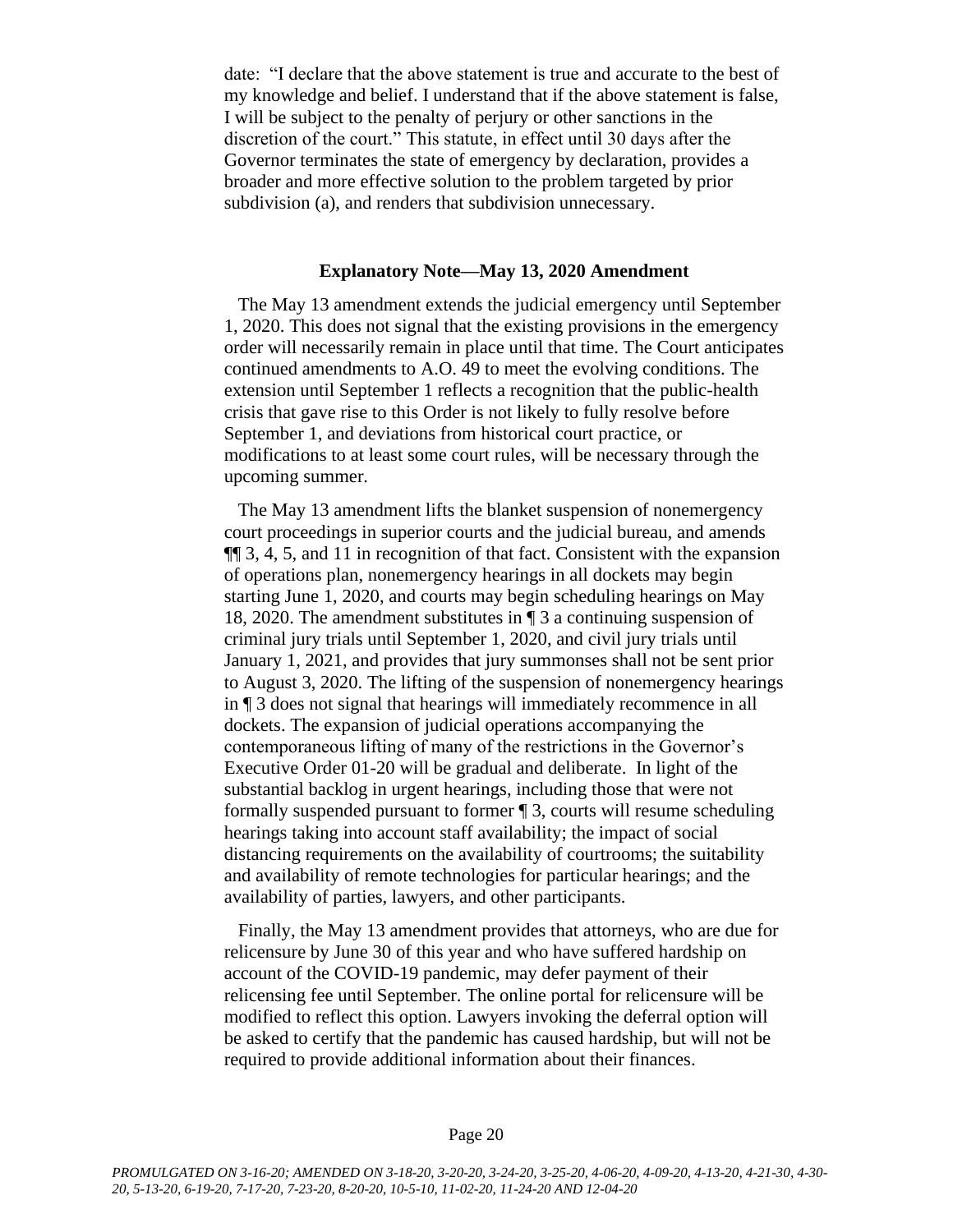date: "I declare that the above statement is true and accurate to the best of my knowledge and belief. I understand that if the above statement is false, I will be subject to the penalty of perjury or other sanctions in the discretion of the court." This statute, in effect until 30 days after the Governor terminates the state of emergency by declaration, provides a broader and more effective solution to the problem targeted by prior subdivision (a), and renders that subdivision unnecessary.

#### **Explanatory Note—May 13, 2020 Amendment**

The May 13 amendment extends the judicial emergency until September 1, 2020. This does not signal that the existing provisions in the emergency order will necessarily remain in place until that time. The Court anticipates continued amendments to A.O. 49 to meet the evolving conditions. The extension until September 1 reflects a recognition that the public-health crisis that gave rise to this Order is not likely to fully resolve before September 1, and deviations from historical court practice, or modifications to at least some court rules, will be necessary through the upcoming summer.

The May 13 amendment lifts the blanket suspension of nonemergency court proceedings in superior courts and the judicial bureau, and amends ¶¶ 3, 4, 5, and 11 in recognition of that fact. Consistent with the expansion of operations plan, nonemergency hearings in all dockets may begin starting June 1, 2020, and courts may begin scheduling hearings on May 18, 2020. The amendment substitutes in ¶ 3 a continuing suspension of criminal jury trials until September 1, 2020, and civil jury trials until January 1, 2021, and provides that jury summonses shall not be sent prior to August 3, 2020. The lifting of the suspension of nonemergency hearings in ¶ 3 does not signal that hearings will immediately recommence in all dockets. The expansion of judicial operations accompanying the contemporaneous lifting of many of the restrictions in the Governor's Executive Order 01-20 will be gradual and deliberate. In light of the substantial backlog in urgent hearings, including those that were not formally suspended pursuant to former ¶ 3, courts will resume scheduling hearings taking into account staff availability; the impact of social distancing requirements on the availability of courtrooms; the suitability and availability of remote technologies for particular hearings; and the availability of parties, lawyers, and other participants.

Finally, the May 13 amendment provides that attorneys, who are due for relicensure by June 30 of this year and who have suffered hardship on account of the COVID-19 pandemic, may defer payment of their relicensing fee until September. The online portal for relicensure will be modified to reflect this option. Lawyers invoking the deferral option will be asked to certify that the pandemic has caused hardship, but will not be required to provide additional information about their finances.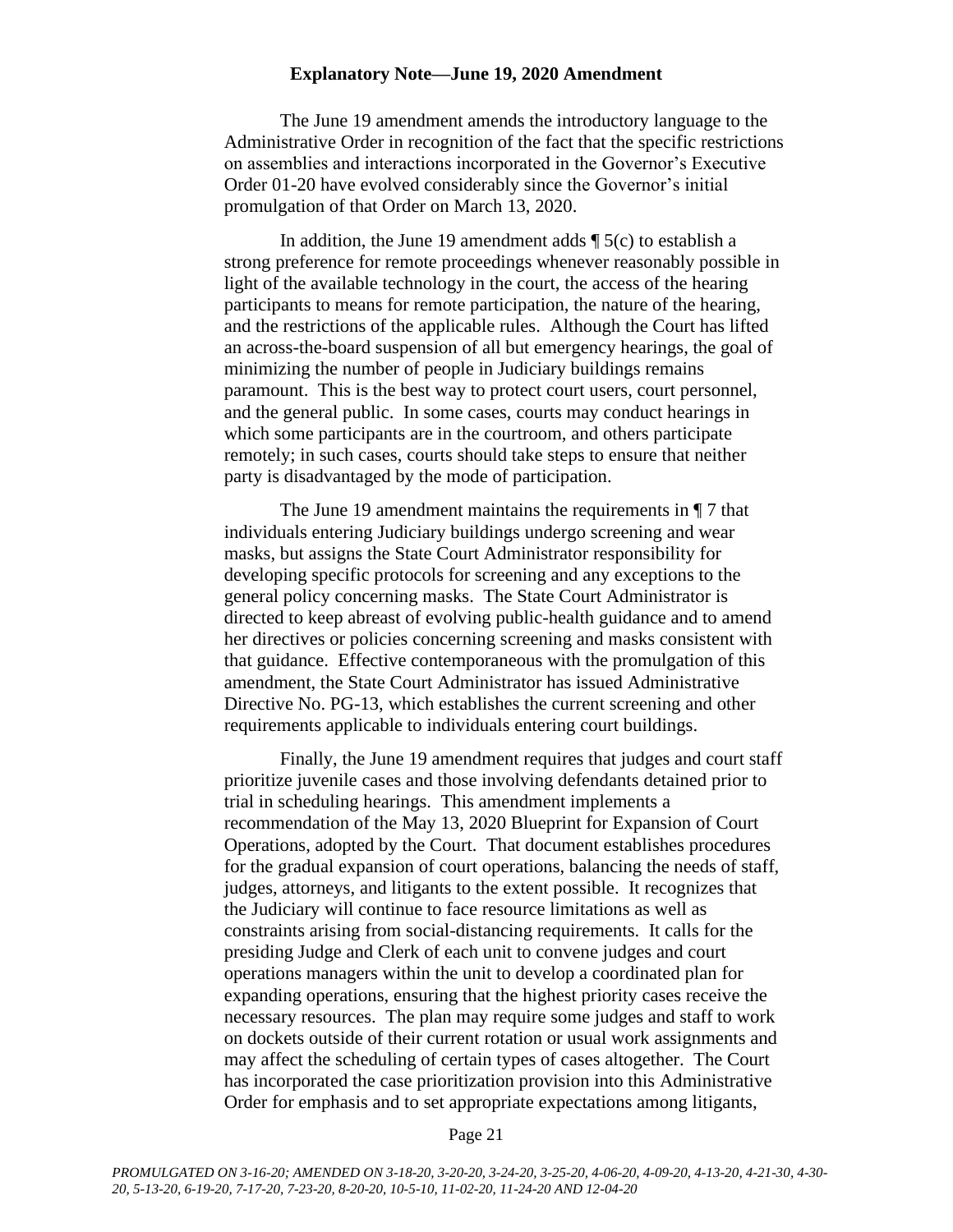#### **Explanatory Note—June 19, 2020 Amendment**

The June 19 amendment amends the introductory language to the Administrative Order in recognition of the fact that the specific restrictions on assemblies and interactions incorporated in the Governor's Executive Order 01-20 have evolved considerably since the Governor's initial promulgation of that Order on March 13, 2020.

In addition, the June 19 amendment adds  $\P$  5(c) to establish a strong preference for remote proceedings whenever reasonably possible in light of the available technology in the court, the access of the hearing participants to means for remote participation, the nature of the hearing, and the restrictions of the applicable rules. Although the Court has lifted an across-the-board suspension of all but emergency hearings, the goal of minimizing the number of people in Judiciary buildings remains paramount. This is the best way to protect court users, court personnel, and the general public. In some cases, courts may conduct hearings in which some participants are in the courtroom, and others participate remotely; in such cases, courts should take steps to ensure that neither party is disadvantaged by the mode of participation.

The June 19 amendment maintains the requirements in ¶ 7 that individuals entering Judiciary buildings undergo screening and wear masks, but assigns the State Court Administrator responsibility for developing specific protocols for screening and any exceptions to the general policy concerning masks. The State Court Administrator is directed to keep abreast of evolving public-health guidance and to amend her directives or policies concerning screening and masks consistent with that guidance. Effective contemporaneous with the promulgation of this amendment, the State Court Administrator has issued Administrative Directive No. PG-13, which establishes the current screening and other requirements applicable to individuals entering court buildings.

Finally, the June 19 amendment requires that judges and court staff prioritize juvenile cases and those involving defendants detained prior to trial in scheduling hearings. This amendment implements a recommendation of the May 13, 2020 Blueprint for Expansion of Court Operations, adopted by the Court. That document establishes procedures for the gradual expansion of court operations, balancing the needs of staff, judges, attorneys, and litigants to the extent possible. It recognizes that the Judiciary will continue to face resource limitations as well as constraints arising from social-distancing requirements. It calls for the presiding Judge and Clerk of each unit to convene judges and court operations managers within the unit to develop a coordinated plan for expanding operations, ensuring that the highest priority cases receive the necessary resources. The plan may require some judges and staff to work on dockets outside of their current rotation or usual work assignments and may affect the scheduling of certain types of cases altogether. The Court has incorporated the case prioritization provision into this Administrative Order for emphasis and to set appropriate expectations among litigants,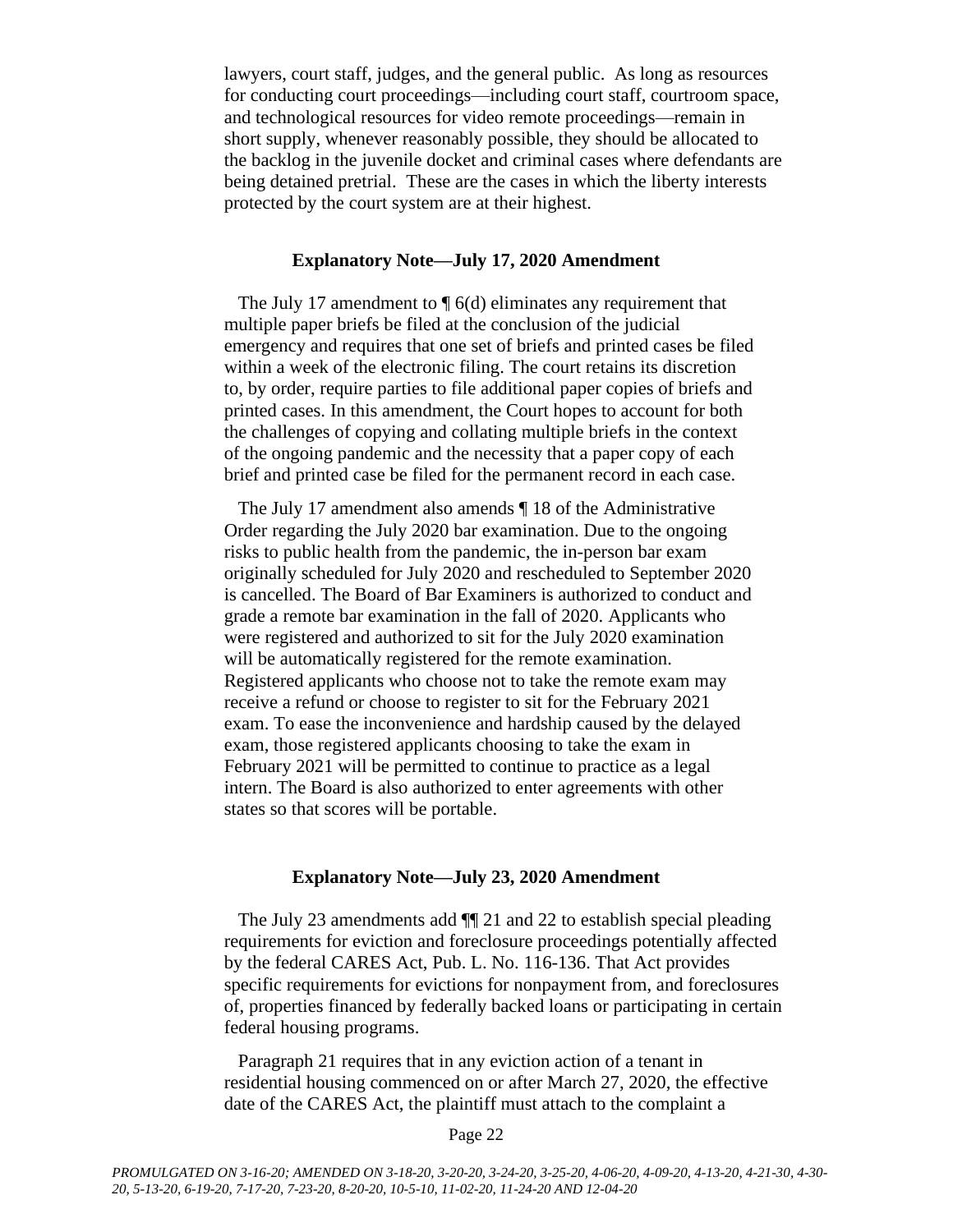lawyers, court staff, judges, and the general public. As long as resources for conducting court proceedings—including court staff, courtroom space, and technological resources for video remote proceedings—remain in short supply, whenever reasonably possible, they should be allocated to the backlog in the juvenile docket and criminal cases where defendants are being detained pretrial. These are the cases in which the liberty interests protected by the court system are at their highest.

### **Explanatory Note—July 17, 2020 Amendment**

The July 17 amendment to  $\P$  6(d) eliminates any requirement that multiple paper briefs be filed at the conclusion of the judicial emergency and requires that one set of briefs and printed cases be filed within a week of the electronic filing. The court retains its discretion to, by order, require parties to file additional paper copies of briefs and printed cases. In this amendment, the Court hopes to account for both the challenges of copying and collating multiple briefs in the context of the ongoing pandemic and the necessity that a paper copy of each brief and printed case be filed for the permanent record in each case.

The July 17 amendment also amends ¶ 18 of the Administrative Order regarding the July 2020 bar examination. Due to the ongoing risks to public health from the pandemic, the in-person bar exam originally scheduled for July 2020 and rescheduled to September 2020 is cancelled. The Board of Bar Examiners is authorized to conduct and grade a remote bar examination in the fall of 2020. Applicants who were registered and authorized to sit for the July 2020 examination will be automatically registered for the remote examination. Registered applicants who choose not to take the remote exam may receive a refund or choose to register to sit for the February 2021 exam. To ease the inconvenience and hardship caused by the delayed exam, those registered applicants choosing to take the exam in February 2021 will be permitted to continue to practice as a legal intern. The Board is also authorized to enter agreements with other states so that scores will be portable.

#### **Explanatory Note—July 23, 2020 Amendment**

The July 23 amendments add ¶¶ 21 and 22 to establish special pleading requirements for eviction and foreclosure proceedings potentially affected by the federal CARES Act, Pub. L. No. 116-136. That Act provides specific requirements for evictions for nonpayment from, and foreclosures of, properties financed by federally backed loans or participating in certain federal housing programs.

Paragraph 21 requires that in any eviction action of a tenant in residential housing commenced on or after March 27, 2020, the effective date of the CARES Act, the plaintiff must attach to the complaint a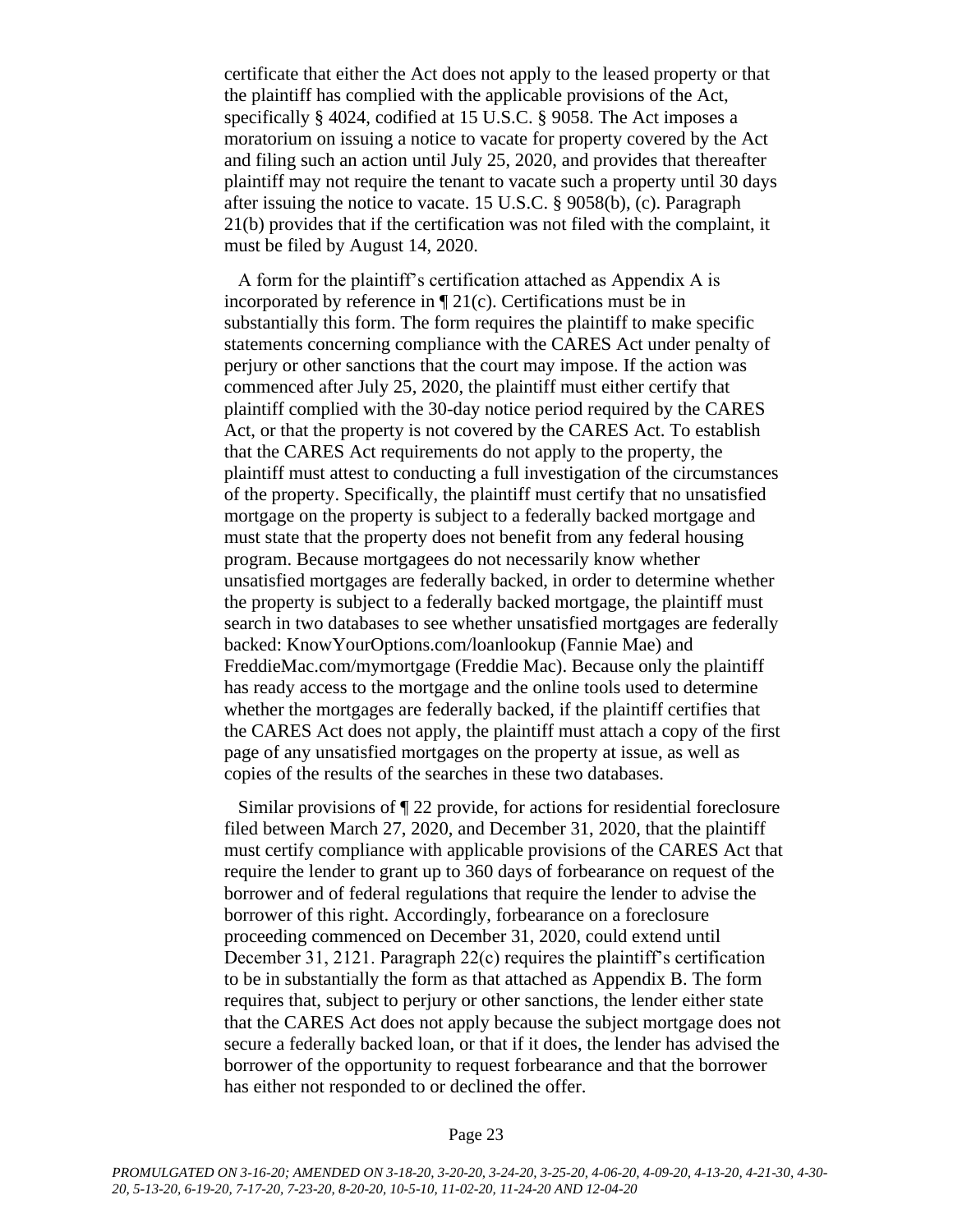certificate that either the Act does not apply to the leased property or that the plaintiff has complied with the applicable provisions of the Act, specifically § 4024, codified at 15 U.S.C. § 9058. The Act imposes a moratorium on issuing a notice to vacate for property covered by the Act and filing such an action until July 25, 2020, and provides that thereafter plaintiff may not require the tenant to vacate such a property until 30 days after issuing the notice to vacate. 15 U.S.C. § 9058(b), (c). Paragraph 21(b) provides that if the certification was not filed with the complaint, it must be filed by August 14, 2020.

A form for the plaintiff's certification attached as Appendix A is incorporated by reference in ¶ 21(c). Certifications must be in substantially this form. The form requires the plaintiff to make specific statements concerning compliance with the CARES Act under penalty of perjury or other sanctions that the court may impose. If the action was commenced after July 25, 2020, the plaintiff must either certify that plaintiff complied with the 30-day notice period required by the CARES Act, or that the property is not covered by the CARES Act. To establish that the CARES Act requirements do not apply to the property, the plaintiff must attest to conducting a full investigation of the circumstances of the property. Specifically, the plaintiff must certify that no unsatisfied mortgage on the property is subject to a federally backed mortgage and must state that the property does not benefit from any federal housing program. Because mortgagees do not necessarily know whether unsatisfied mortgages are federally backed, in order to determine whether the property is subject to a federally backed mortgage, the plaintiff must search in two databases to see whether unsatisfied mortgages are federally backed: KnowYourOptions.com/loanlookup (Fannie Mae) and FreddieMac.com/mymortgage (Freddie Mac). Because only the plaintiff has ready access to the mortgage and the online tools used to determine whether the mortgages are federally backed, if the plaintiff certifies that the CARES Act does not apply, the plaintiff must attach a copy of the first page of any unsatisfied mortgages on the property at issue, as well as copies of the results of the searches in these two databases.

Similar provisions of ¶ 22 provide, for actions for residential foreclosure filed between March 27, 2020, and December 31, 2020, that the plaintiff must certify compliance with applicable provisions of the CARES Act that require the lender to grant up to 360 days of forbearance on request of the borrower and of federal regulations that require the lender to advise the borrower of this right. Accordingly, forbearance on a foreclosure proceeding commenced on December 31, 2020, could extend until December 31, 2121. Paragraph 22(c) requires the plaintiff's certification to be in substantially the form as that attached as Appendix B. The form requires that, subject to perjury or other sanctions, the lender either state that the CARES Act does not apply because the subject mortgage does not secure a federally backed loan, or that if it does, the lender has advised the borrower of the opportunity to request forbearance and that the borrower has either not responded to or declined the offer.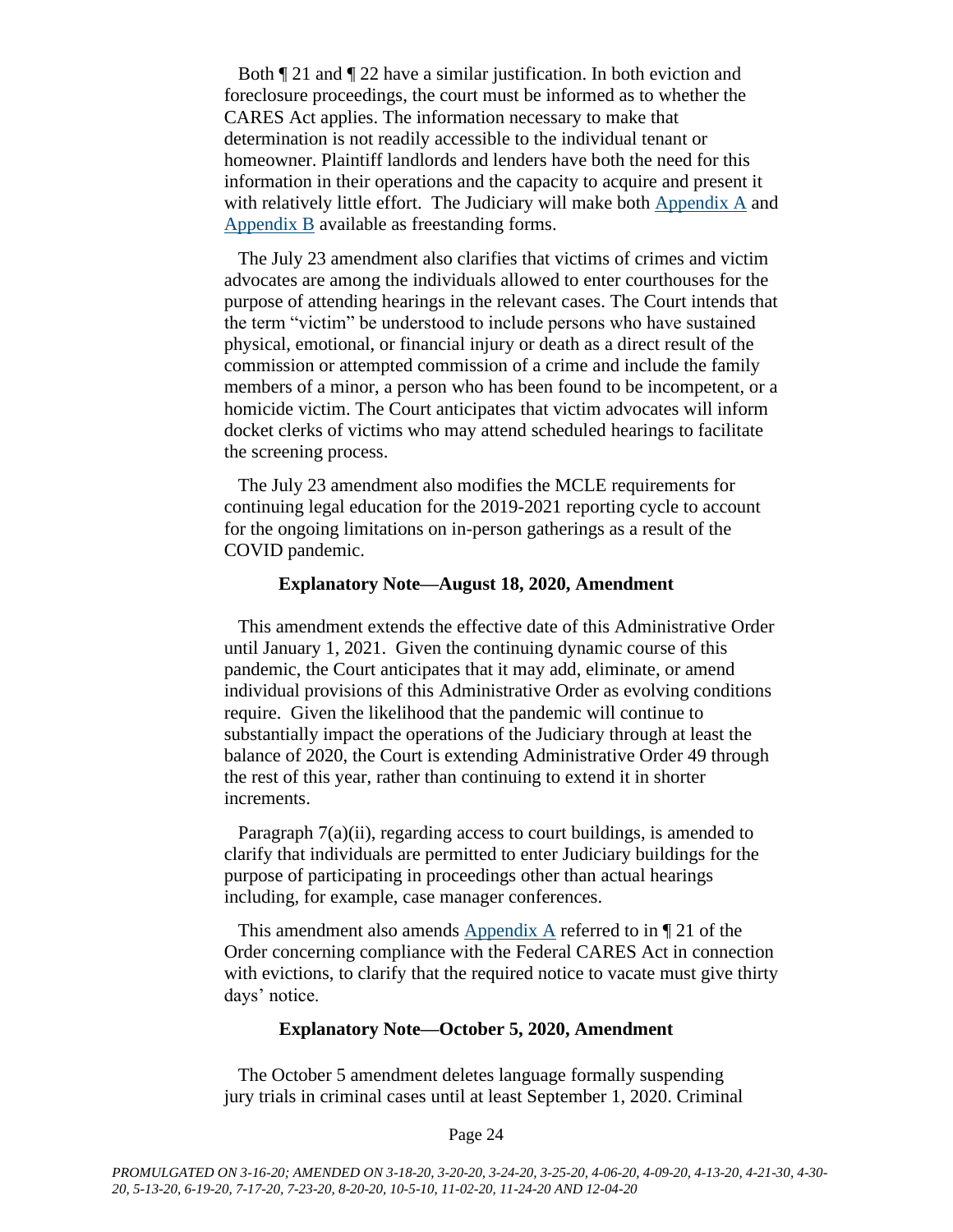Both ¶ 21 and ¶ 22 have a similar justification. In both eviction and foreclosure proceedings, the court must be informed as to whether the CARES Act applies. The information necessary to make that determination is not readily accessible to the individual tenant or homeowner. Plaintiff landlords and lenders have both the need for this information in their operations and the capacity to acquire and present it with relatively little effort. The Judiciary will make both [Appendix A](https://www.vermontjudiciary.org/sites/default/files/documents/Appendix%20A_0.pdf) and [Appendix B](https://www.vermontjudiciary.org/sites/default/files/documents/Appendix%20B.pdf) available as freestanding forms.

The July 23 amendment also clarifies that victims of crimes and victim advocates are among the individuals allowed to enter courthouses for the purpose of attending hearings in the relevant cases. The Court intends that the term "victim" be understood to include persons who have sustained physical, emotional, or financial injury or death as a direct result of the commission or attempted commission of a crime and include the family members of a minor, a person who has been found to be incompetent, or a homicide victim. The Court anticipates that victim advocates will inform docket clerks of victims who may attend scheduled hearings to facilitate the screening process.

The July 23 amendment also modifies the MCLE requirements for continuing legal education for the 2019-2021 reporting cycle to account for the ongoing limitations on in-person gatherings as a result of the COVID pandemic.

#### **Explanatory Note—August 18, 2020, Amendment**

This amendment extends the effective date of this Administrative Order until January 1, 2021. Given the continuing dynamic course of this pandemic, the Court anticipates that it may add, eliminate, or amend individual provisions of this Administrative Order as evolving conditions require. Given the likelihood that the pandemic will continue to substantially impact the operations of the Judiciary through at least the balance of 2020, the Court is extending Administrative Order 49 through the rest of this year, rather than continuing to extend it in shorter increments.

Paragraph 7(a)(ii), regarding access to court buildings, is amended to clarify that individuals are permitted to enter Judiciary buildings for the purpose of participating in proceedings other than actual hearings including, for example, case manager conferences.

This amendment also amends [Appendix A](https://www.vermontjudiciary.org/sites/default/files/documents/Appendix%20A_0.pdf) referred to in ¶ 21 of the Order concerning compliance with the Federal CARES Act in connection with evictions, to clarify that the required notice to vacate must give thirty days' notice.

#### **Explanatory Note—October 5, 2020, Amendment**

The October 5 amendment deletes language formally suspending jury trials in criminal cases until at least September 1, 2020. Criminal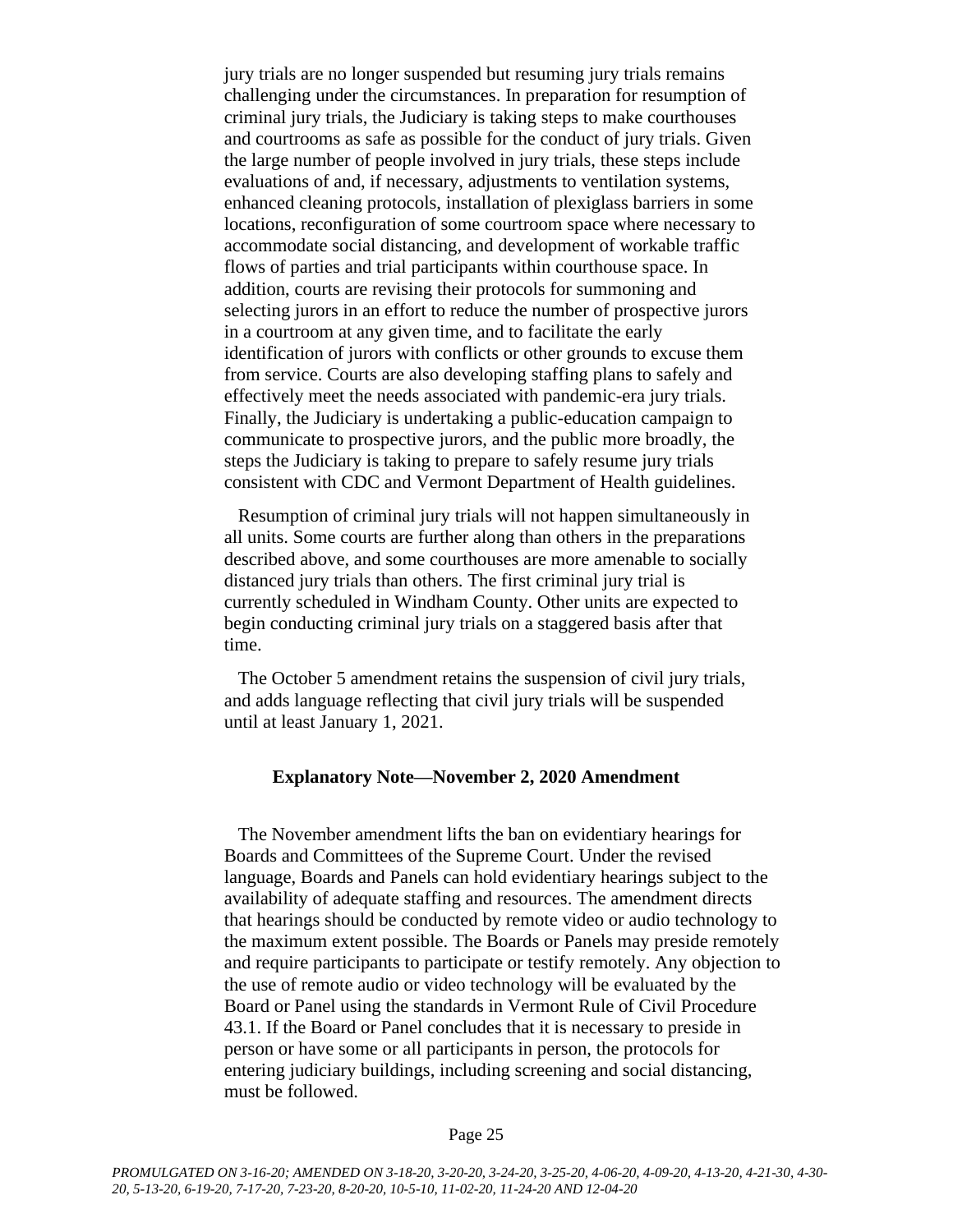jury trials are no longer suspended but resuming jury trials remains challenging under the circumstances. In preparation for resumption of criminal jury trials, the Judiciary is taking steps to make courthouses and courtrooms as safe as possible for the conduct of jury trials. Given the large number of people involved in jury trials, these steps include evaluations of and, if necessary, adjustments to ventilation systems, enhanced cleaning protocols, installation of plexiglass barriers in some locations, reconfiguration of some courtroom space where necessary to accommodate social distancing, and development of workable traffic flows of parties and trial participants within courthouse space. In addition, courts are revising their protocols for summoning and selecting jurors in an effort to reduce the number of prospective jurors in a courtroom at any given time, and to facilitate the early identification of jurors with conflicts or other grounds to excuse them from service. Courts are also developing staffing plans to safely and effectively meet the needs associated with pandemic-era jury trials. Finally, the Judiciary is undertaking a public-education campaign to communicate to prospective jurors, and the public more broadly, the steps the Judiciary is taking to prepare to safely resume jury trials consistent with CDC and Vermont Department of Health guidelines.

Resumption of criminal jury trials will not happen simultaneously in all units. Some courts are further along than others in the preparations described above, and some courthouses are more amenable to socially distanced jury trials than others. The first criminal jury trial is currently scheduled in Windham County. Other units are expected to begin conducting criminal jury trials on a staggered basis after that time.

The October 5 amendment retains the suspension of civil jury trials, and adds language reflecting that civil jury trials will be suspended until at least January 1, 2021.

#### **Explanatory Note—November 2, 2020 Amendment**

The November amendment lifts the ban on evidentiary hearings for Boards and Committees of the Supreme Court. Under the revised language, Boards and Panels can hold evidentiary hearings subject to the availability of adequate staffing and resources. The amendment directs that hearings should be conducted by remote video or audio technology to the maximum extent possible. The Boards or Panels may preside remotely and require participants to participate or testify remotely. Any objection to the use of remote audio or video technology will be evaluated by the Board or Panel using the standards in Vermont Rule of Civil Procedure 43.1. If the Board or Panel concludes that it is necessary to preside in person or have some or all participants in person, the protocols for entering judiciary buildings, including screening and social distancing, must be followed.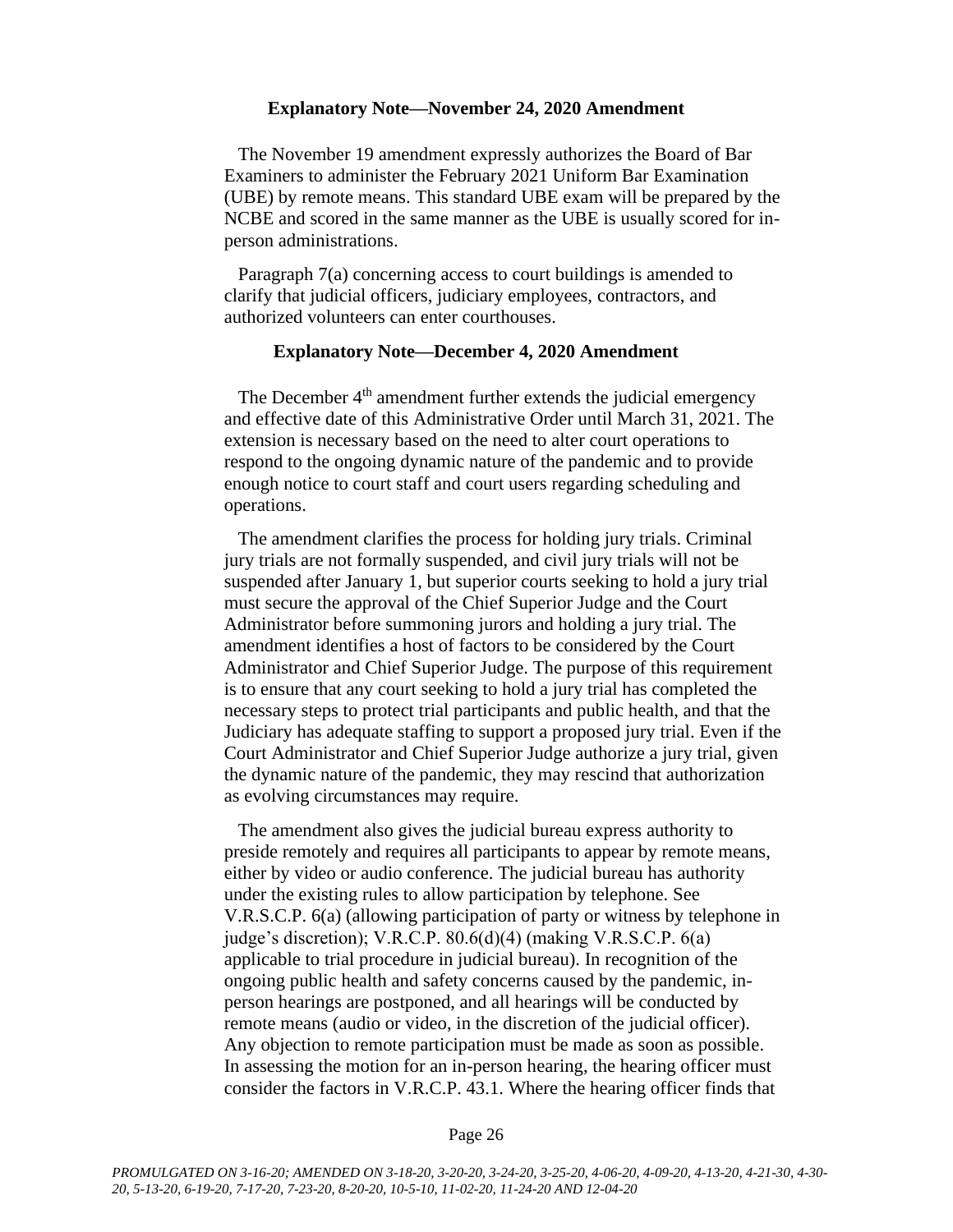#### **Explanatory Note—November 24, 2020 Amendment**

The November 19 amendment expressly authorizes the Board of Bar Examiners to administer the February 2021 Uniform Bar Examination (UBE) by remote means. This standard UBE exam will be prepared by the NCBE and scored in the same manner as the UBE is usually scored for inperson administrations.

Paragraph 7(a) concerning access to court buildings is amended to clarify that judicial officers, judiciary employees, contractors, and authorized volunteers can enter courthouses.

### **Explanatory Note—December 4, 2020 Amendment**

The December 4<sup>th</sup> amendment further extends the judicial emergency and effective date of this Administrative Order until March 31, 2021. The extension is necessary based on the need to alter court operations to respond to the ongoing dynamic nature of the pandemic and to provide enough notice to court staff and court users regarding scheduling and operations.

The amendment clarifies the process for holding jury trials. Criminal jury trials are not formally suspended, and civil jury trials will not be suspended after January 1, but superior courts seeking to hold a jury trial must secure the approval of the Chief Superior Judge and the Court Administrator before summoning jurors and holding a jury trial. The amendment identifies a host of factors to be considered by the Court Administrator and Chief Superior Judge. The purpose of this requirement is to ensure that any court seeking to hold a jury trial has completed the necessary steps to protect trial participants and public health, and that the Judiciary has adequate staffing to support a proposed jury trial. Even if the Court Administrator and Chief Superior Judge authorize a jury trial, given the dynamic nature of the pandemic, they may rescind that authorization as evolving circumstances may require.

The amendment also gives the judicial bureau express authority to preside remotely and requires all participants to appear by remote means, either by video or audio conference. The judicial bureau has authority under the existing rules to allow participation by telephone. See V.R.S.C.P. 6(a) (allowing participation of party or witness by telephone in judge's discretion); V.R.C.P. 80.6(d)(4) (making V.R.S.C.P. 6(a) applicable to trial procedure in judicial bureau). In recognition of the ongoing public health and safety concerns caused by the pandemic, inperson hearings are postponed, and all hearings will be conducted by remote means (audio or video, in the discretion of the judicial officer). Any objection to remote participation must be made as soon as possible. In assessing the motion for an in-person hearing, the hearing officer must consider the factors in V.R.C.P. 43.1. Where the hearing officer finds that